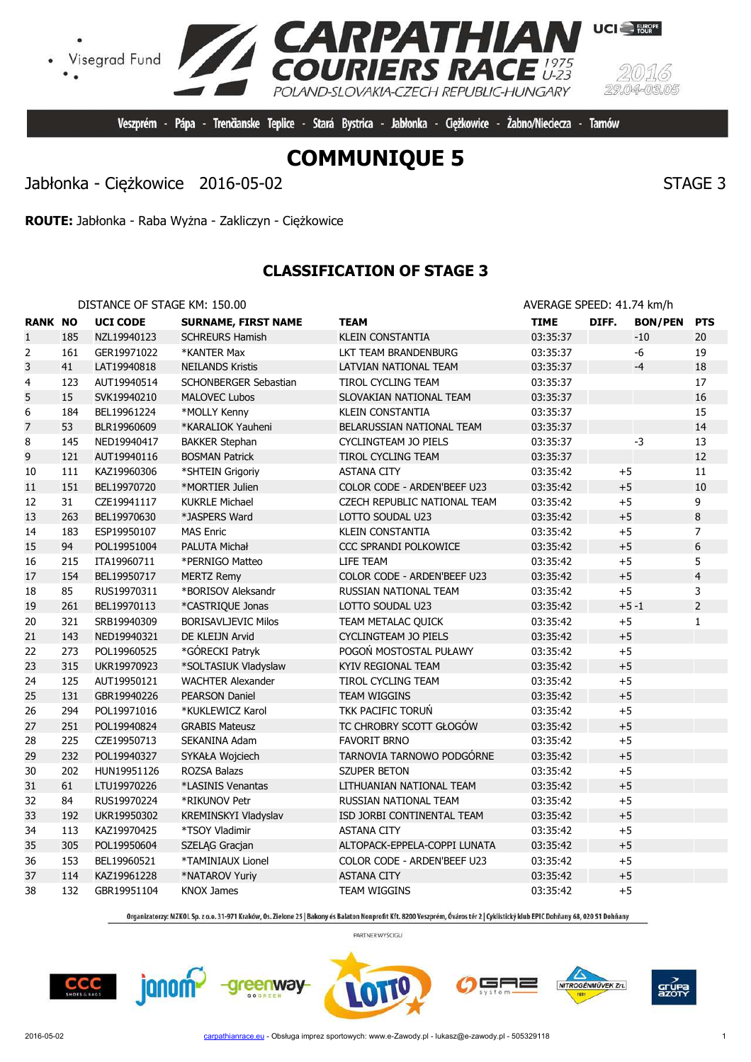**COMMUNIQUE 5**

Veszprém - Pápa - Trenčianske Teplice - Stará Bystrica - Jabłonka - Ciężkowice -

**RPATHIAN**<br>RIERS RACE

POLAND-SLOVAKIA-CZECH REPUBLIC-HUNGARY

Jabłonka - Ciężkowice 2016-05-02 STAGE 3

Visegrad Fund

**ROUTE:** Jabłonka - Raba Wyżna - Zakliczyn - Ciężkowice

# **CLASSIFICATION OF STAGE 3**

DISTANCE OF STAGE KM: 150.00 **AVERAGE SPEED: 41.74 km/h** 

| <b>RANK NO</b> |     | <b>UCI CODE</b> | <b>SURNAME, FIRST NAME</b> | <b>TEAM</b>                  | <b>TIME</b> | DIFF. | <b>BON/PEN</b> | <b>PTS</b>     |
|----------------|-----|-----------------|----------------------------|------------------------------|-------------|-------|----------------|----------------|
| $\mathbf{1}$   | 185 | NZL19940123     | <b>SCHREURS Hamish</b>     | <b>KLEIN CONSTANTIA</b>      | 03:35:37    |       | $-10$          | 20             |
| $\overline{2}$ | 161 | GER19971022     | *KANTER Max                | LKT TEAM BRANDENBURG         | 03:35:37    |       | -6             | 19             |
| 3              | 41  | LAT19940818     | <b>NEILANDS Kristis</b>    | LATVIAN NATIONAL TEAM        | 03:35:37    |       | $-4$           | 18             |
| 4              | 123 | AUT19940514     | SCHONBERGER Sebastian      | TIROL CYCLING TEAM           | 03:35:37    |       |                | 17             |
| 5              | 15  | SVK19940210     | <b>MALOVEC Lubos</b>       | SLOVAKIAN NATIONAL TEAM      | 03:35:37    |       |                | 16             |
| 6              | 184 | BEL19961224     | *MOLLY Kenny               | <b>KLEIN CONSTANTIA</b>      | 03:35:37    |       |                | 15             |
| $\overline{7}$ | 53  | BLR19960609     | *KARALIOK Yauheni          | BELARUSSIAN NATIONAL TEAM    | 03:35:37    |       |                | 14             |
| 8              | 145 | NED19940417     | <b>BAKKER Stephan</b>      | CYCLINGTEAM JO PIELS         | 03:35:37    |       | $-3$           | 13             |
| 9              | 121 | AUT19940116     | <b>BOSMAN Patrick</b>      | TIROL CYCLING TEAM           | 03:35:37    |       |                | 12             |
| $10\,$         | 111 | KAZ19960306     | *SHTEIN Grigoriy           | <b>ASTANA CITY</b>           | 03:35:42    | $+5$  |                | 11             |
| 11             | 151 | BEL19970720     | *MORTIER Julien            | COLOR CODE - ARDEN'BEEF U23  | 03:35:42    | $+5$  |                | $10\,$         |
| 12             | 31  | CZE19941117     | <b>KUKRLE Michael</b>      | CZECH REPUBLIC NATIONAL TEAM | 03:35:42    | $+5$  |                | 9              |
| 13             | 263 | BEL19970630     | *JASPERS Ward              | LOTTO SOUDAL U23             | 03:35:42    | $+5$  |                | $\,8\,$        |
| 14             | 183 | ESP19950107     | <b>MAS Enric</b>           | <b>KLEIN CONSTANTIA</b>      | 03:35:42    | $+5$  |                | 7              |
| 15             | 94  | POL19951004     | PALUTA Michał              | <b>CCC SPRANDI POLKOWICE</b> | 03:35:42    | $+5$  |                | 6              |
| 16             | 215 | ITA19960711     | *PERNIGO Matteo            | LIFE TEAM                    | 03:35:42    | $+5$  |                | 5              |
| 17             | 154 | BEL19950717     | <b>MERTZ Remy</b>          | COLOR CODE - ARDEN'BEEF U23  | 03:35:42    | $+5$  |                | $\overline{4}$ |
| 18             | 85  | RUS19970311     | *BORISOV Aleksandr         | RUSSIAN NATIONAL TEAM        | 03:35:42    | $+5$  |                | 3              |
| 19             | 261 | BEL19970113     | *CASTRIQUE Jonas           | LOTTO SOUDAL U23             | 03:35:42    |       | $+5 - 1$       | $\overline{2}$ |
| 20             | 321 | SRB19940309     | <b>BORISAVLJEVIC Milos</b> | TEAM METALAC QUICK           | 03:35:42    | $+5$  |                | $\mathbf{1}$   |
| 21             | 143 | NED19940321     | DE KLEIJN Arvid            | <b>CYCLINGTEAM JO PIELS</b>  | 03:35:42    | $+5$  |                |                |
| 22             | 273 | POL19960525     | *GÓRECKI Patryk            | POGOŃ MOSTOSTAL PUŁAWY       | 03:35:42    | $+5$  |                |                |
| 23             | 315 | UKR19970923     | *SOLTASIUK Vladyslaw       | <b>KYIV REGIONAL TEAM</b>    | 03:35:42    | $+5$  |                |                |
| 24             | 125 | AUT19950121     | <b>WACHTER Alexander</b>   | <b>TIROL CYCLING TEAM</b>    | 03:35:42    | $+5$  |                |                |
| 25             | 131 | GBR19940226     | <b>PEARSON Daniel</b>      | <b>TEAM WIGGINS</b>          | 03:35:42    | $+5$  |                |                |
| 26             | 294 | POL19971016     | *KUKLEWICZ Karol           | TKK PACIFIC TORUŃ            | 03:35:42    | $+5$  |                |                |
| 27             | 251 | POL19940824     | <b>GRABIS Mateusz</b>      | TC CHROBRY SCOTT GŁOGÓW      | 03:35:42    | $+5$  |                |                |
| 28             | 225 | CZE19950713     | SEKANINA Adam              | <b>FAVORIT BRNO</b>          | 03:35:42    | $+5$  |                |                |
| 29             | 232 | POL19940327     | SYKAŁA Wojciech            | TARNOVIA TARNOWO PODGÓRNE    | 03:35:42    | $+5$  |                |                |
| 30             | 202 | HUN19951126     | ROZSA Balazs               | <b>SZUPER BETON</b>          | 03:35:42    | $+5$  |                |                |
| 31             | 61  | LTU19970226     | *LASINIS Venantas          | LITHUANIAN NATIONAL TEAM     | 03:35:42    | $+5$  |                |                |
| 32             | 84  | RUS19970224     | *RIKUNOV Petr              | RUSSIAN NATIONAL TEAM        | 03:35:42    | $+5$  |                |                |
| 33             | 192 | UKR19950302     | KREMINSKYI Vladyslav       | ISD JORBI CONTINENTAL TEAM   | 03:35:42    | $+5$  |                |                |
| 34             | 113 | KAZ19970425     | *TSOY Vladimir             | <b>ASTANA CITY</b>           | 03:35:42    | $+5$  |                |                |
| 35             | 305 | POL19950604     | SZELĄG Gracjan             | ALTOPACK-EPPELA-COPPI LUNATA | 03:35:42    | $+5$  |                |                |
| 36             | 153 | BEL19960521     | *TAMINIAUX Lionel          | COLOR CODE - ARDEN'BEEF U23  | 03:35:42    | $+5$  |                |                |
| 37             | 114 | KAZ19961228     | *NATAROV Yuriy             | <b>ASTANA CITY</b>           | 03:35:42    | $+5$  |                |                |
| 38             | 132 | GBR19951104     | <b>KNOX James</b>          | <b>TEAM WIGGINS</b>          | 03:35:42    | $+5$  |                |                |

Organizatorzy: MZKOL Sp. z o.o. 31-971 Kraków, Os. Zielone 25 | Bakony és Balaton Nonprofit Kft. 8200 Veszprém, Óváros tér 2 | Cyklistický klub EPIC Dohňany 68, 020 51 Dohňany

PARTNER WYŚCIGU

greenway

 $CCC$ 

janom-





╕═



**UCI** FURGPE

Żabno/Nieciecza - Tarnów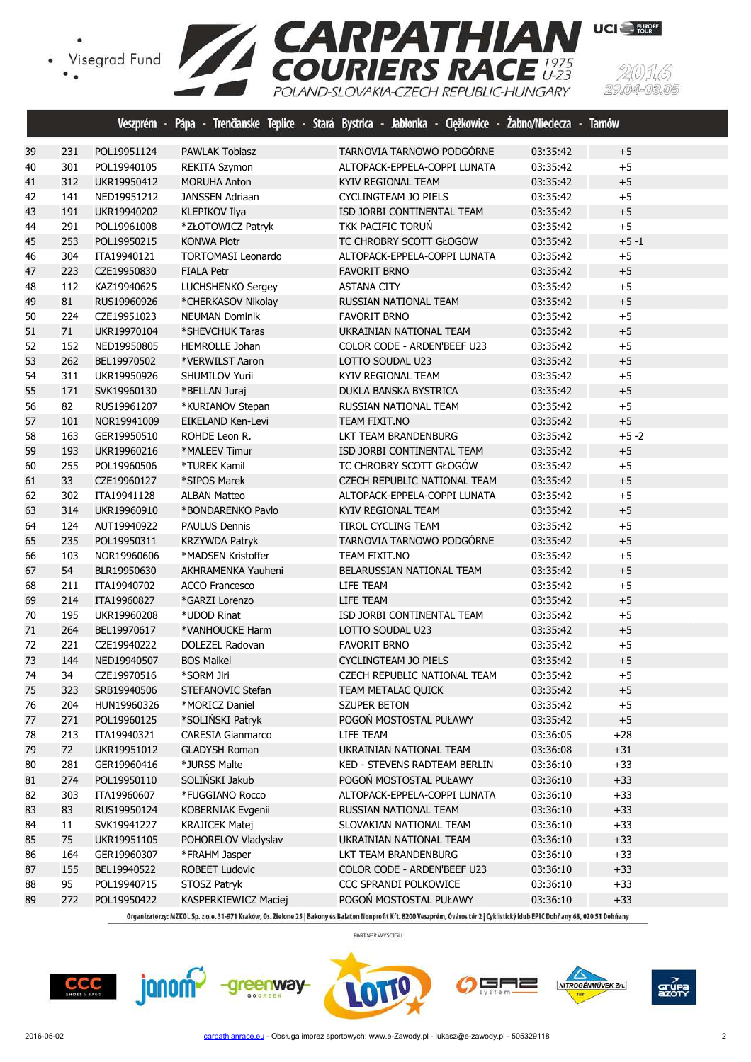



|    |     |             |                           | Veszprém - Pápa - Trenčianske Teplice - Stará Bystrica - Jabłonka - Ciężkowice - Żabno/Nieciecza - Tarnów |          |          |  |
|----|-----|-------------|---------------------------|-----------------------------------------------------------------------------------------------------------|----------|----------|--|
| 39 | 231 | POL19951124 | <b>PAWLAK Tobiasz</b>     | TARNOVIA TARNOWO PODGÓRNE                                                                                 | 03:35:42 | $+5$     |  |
| 40 | 301 | POL19940105 | REKITA Szymon             | ALTOPACK-EPPELA-COPPI LUNATA                                                                              | 03:35:42 | $+5$     |  |
| 41 | 312 | UKR19950412 | <b>MORUHA Anton</b>       | KYIV REGIONAL TEAM                                                                                        | 03:35:42 | $+5$     |  |
| 42 | 141 | NED19951212 | <b>JANSSEN Adriaan</b>    | CYCLINGTEAM JO PIELS                                                                                      | 03:35:42 | $+5$     |  |
| 43 | 191 | UKR19940202 | <b>KLEPIKOV Ilya</b>      | ISD JORBI CONTINENTAL TEAM                                                                                | 03:35:42 | $+5$     |  |
| 44 | 291 | POL19961008 | *ZŁOTOWICZ Patryk         | TKK PACIFIC TORUŃ                                                                                         | 03:35:42 | $+5$     |  |
| 45 | 253 | POL19950215 | <b>KONWA Piotr</b>        | TC CHROBRY SCOTT GŁOGÓW                                                                                   | 03:35:42 | $+5 - 1$ |  |
| 46 | 304 | ITA19940121 | <b>TORTOMASI Leonardo</b> | ALTOPACK-EPPELA-COPPI LUNATA                                                                              | 03:35:42 | $+5$     |  |
| 47 | 223 | CZE19950830 | <b>FIALA Petr</b>         | <b>FAVORIT BRNO</b>                                                                                       | 03:35:42 | $+5$     |  |
| 48 | 112 | KAZ19940625 | LUCHSHENKO Sergey         | <b>ASTANA CITY</b>                                                                                        | 03:35:42 | $+5$     |  |
| 49 | 81  | RUS19960926 | *CHERKASOV Nikolay        | RUSSIAN NATIONAL TEAM                                                                                     | 03:35:42 | $+5$     |  |
| 50 | 224 | CZE19951023 | <b>NEUMAN Dominik</b>     | <b>FAVORIT BRNO</b>                                                                                       | 03:35:42 | $+5$     |  |
| 51 | 71  | UKR19970104 | *SHEVCHUK Taras           | UKRAINIAN NATIONAL TEAM                                                                                   | 03:35:42 | $+5$     |  |
| 52 | 152 | NED19950805 | <b>HEMROLLE Johan</b>     | COLOR CODE - ARDEN'BEEF U23                                                                               | 03:35:42 | $+5$     |  |
| 53 | 262 | BEL19970502 | *VERWILST Aaron           | LOTTO SOUDAL U23                                                                                          | 03:35:42 | $+5$     |  |
| 54 | 311 | UKR19950926 | SHUMILOV Yurii            | KYIV REGIONAL TEAM                                                                                        | 03:35:42 | $+5$     |  |
| 55 | 171 | SVK19960130 | *BELLAN Juraj             | DUKLA BANSKA BYSTRICA                                                                                     | 03:35:42 | $+5$     |  |
| 56 | 82  | RUS19961207 | *KURIANOV Stepan          | RUSSIAN NATIONAL TEAM                                                                                     | 03:35:42 | $+5$     |  |
| 57 | 101 | NOR19941009 | EIKELAND Ken-Levi         | TEAM FIXIT.NO                                                                                             | 03:35:42 | $+5$     |  |
| 58 | 163 | GER19950510 | ROHDE Leon R.             | LKT TEAM BRANDENBURG                                                                                      | 03:35:42 | $+5 - 2$ |  |
| 59 | 193 | UKR19960216 | *MALEEV Timur             | ISD JORBI CONTINENTAL TEAM                                                                                | 03:35:42 | $+5$     |  |
| 60 | 255 | POL19960506 | *TUREK Kamil              | TC CHROBRY SCOTT GŁOGÓW                                                                                   | 03:35:42 | $+5$     |  |
| 61 | 33  | CZE19960127 | *SIPOS Marek              | CZECH REPUBLIC NATIONAL TEAM                                                                              | 03:35:42 | $+5$     |  |
| 62 | 302 | ITA19941128 | <b>ALBAN Matteo</b>       | ALTOPACK-EPPELA-COPPI LUNATA                                                                              | 03:35:42 | $+5$     |  |
| 63 | 314 | UKR19960910 | *BONDARENKO Pavlo         | KYIV REGIONAL TEAM                                                                                        | 03:35:42 | $+5$     |  |
| 64 | 124 | AUT19940922 | <b>PAULUS Dennis</b>      | TIROL CYCLING TEAM                                                                                        | 03:35:42 | $+5$     |  |
| 65 | 235 | POL19950311 | <b>KRZYWDA Patryk</b>     | TARNOVIA TARNOWO PODGÓRNE                                                                                 | 03:35:42 | $+5$     |  |
| 66 | 103 | NOR19960606 | *MADSEN Kristoffer        | TEAM FIXIT.NO                                                                                             | 03:35:42 | $+5$     |  |
| 67 | 54  | BLR19950630 | AKHRAMENKA Yauheni        | BELARUSSIAN NATIONAL TEAM                                                                                 | 03:35:42 | $+5$     |  |
| 68 | 211 | ITA19940702 | <b>ACCO Francesco</b>     | LIFE TEAM                                                                                                 | 03:35:42 | $+5$     |  |
| 69 | 214 | ITA19960827 | *GARZI Lorenzo            | LIFE TEAM                                                                                                 | 03:35:42 | $+5$     |  |
| 70 | 195 | UKR19960208 | *UDOD Rinat               | ISD JORBI CONTINENTAL TEAM                                                                                | 03:35:42 | $+5$     |  |
| 71 | 264 | BEL19970617 | *VANHOUCKE Harm           | LOTTO SOUDAL U23                                                                                          | 03:35:42 | $+5$     |  |
| 72 | 221 | CZE19940222 | DOLEZEL Radovan           | <b>FAVORIT BRNO</b>                                                                                       | 03:35:42 | $+5$     |  |
| 73 | 144 | NED19940507 | <b>BOS Maikel</b>         | <b>CYCLINGTEAM JO PIELS</b>                                                                               | 03:35:42 | $+5$     |  |
| 74 | 34  | CZE19970516 | *SORM Jiri                | CZECH REPUBLIC NATIONAL TEAM                                                                              | 03:35:42 | $+5$     |  |
| 75 | 323 | SRB19940506 | STEFANOVIC Stefan         | TEAM METALAC QUICK                                                                                        | 03:35:42 | $+5$     |  |
| 76 | 204 | HUN19960326 | *MORICZ Daniel            | <b>SZUPER BETON</b>                                                                                       | 03:35:42 | $+5$     |  |
| 77 | 271 | POL19960125 | *SOLIŃSKI Patryk          | POGOŃ MOSTOSTAL PUŁAWY                                                                                    | 03:35:42 | $+5$     |  |
| 78 | 213 | ITA19940321 | <b>CARESIA Gianmarco</b>  | LIFE TEAM                                                                                                 | 03:36:05 | $+28$    |  |
| 79 | 72  | UKR19951012 | <b>GLADYSH Roman</b>      | UKRAINIAN NATIONAL TEAM                                                                                   | 03:36:08 | $+31$    |  |
| 80 | 281 | GER19960416 | *JURSS Malte              | KED - STEVENS RADTEAM BERLIN                                                                              | 03:36:10 | $+33$    |  |
| 81 | 274 | POL19950110 | SOLIŃSKI Jakub            | POGON MOSTOSTAL PUŁAWY                                                                                    | 03:36:10 | $+33$    |  |
| 82 | 303 | ITA19960607 | *FUGGIANO Rocco           | ALTOPACK-EPPELA-COPPI LUNATA                                                                              | 03:36:10 | $+33$    |  |
| 83 | 83  | RUS19950124 | KOBERNIAK Evgenii         | RUSSIAN NATIONAL TEAM                                                                                     | 03:36:10 | $+33$    |  |
| 84 | 11  | SVK19941227 | <b>KRAJICEK Matej</b>     | SLOVAKIAN NATIONAL TEAM                                                                                   | 03:36:10 | $+33$    |  |
| 85 | 75  | UKR19951105 | POHORELOV Vladyslav       | UKRAINIAN NATIONAL TEAM                                                                                   | 03:36:10 | $+33$    |  |
| 86 | 164 | GER19960307 | *FRAHM Jasper             | LKT TEAM BRANDENBURG                                                                                      | 03:36:10 | $+33$    |  |
| 87 | 155 | BEL19940522 | ROBEET Ludovic            | COLOR CODE - ARDEN'BEEF U23                                                                               | 03:36:10 | $+33$    |  |
| 88 | 95  | POL19940715 | STOSZ Patryk              | CCC SPRANDI POLKOWICE                                                                                     | 03:36:10 | $+33$    |  |
| 89 | 272 | POL19950422 | KASPERKIEWICZ Maciej      | POGOŃ MOSTOSTAL PUŁAWY                                                                                    | 03:36:10 | $+33$    |  |

Organizatorzy: MZKOL Sp. z o.o. 31-971 Kraków, Os. Zielone 25 | Bakony és Balaton Nonprofit Kft. 8200 Veszprém, Óváros tér 2 | Cyklistický klub EPIC Dohňany 68, 020 51 Dohňany









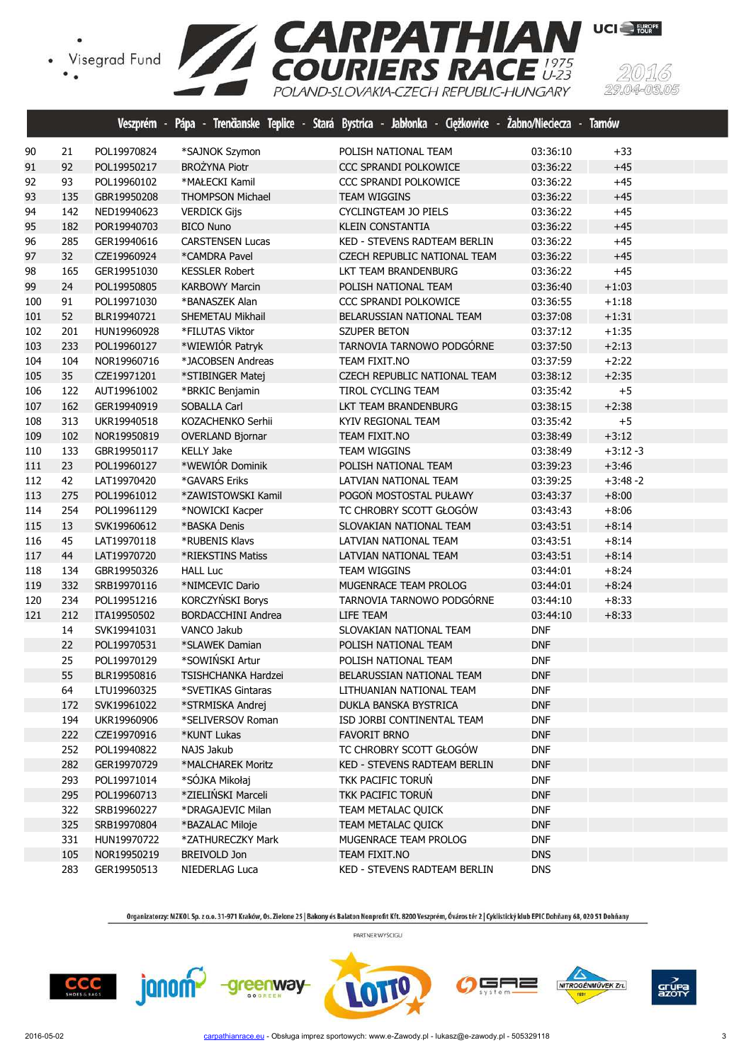

|     |     | Veszprém -  | Pápa - Trenčianske Teplice<br>œ. | <b>Stará</b> | Bystrica - Jabłonka - Ciężkowice - | Zabno/Nieciecza - | <b>Tarnów</b> |
|-----|-----|-------------|----------------------------------|--------------|------------------------------------|-------------------|---------------|
| 90  | 21  | POL19970824 | *SAJNOK Szymon                   |              | POLISH NATIONAL TEAM               | 03:36:10          | $+33$         |
| 91  | 92  | POL19950217 | <b>BROŻYNA Piotr</b>             |              | CCC SPRANDI POLKOWICE              | 03:36:22          | $+45$         |
| 92  | 93  | POL19960102 | *MAŁECKI Kamil                   |              | <b>CCC SPRANDI POLKOWICE</b>       | 03:36:22          | $+45$         |
| 93  | 135 | GBR19950208 | <b>THOMPSON Michael</b>          |              | <b>TEAM WIGGINS</b>                | 03:36:22          | $+45$         |
| 94  | 142 | NED19940623 | <b>VERDICK Gijs</b>              |              | CYCLINGTEAM JO PIELS               | 03:36:22          | $+45$         |
| 95  | 182 | POR19940703 | <b>BICO Nuno</b>                 |              | <b>KLEIN CONSTANTIA</b>            | 03:36:22          | $+45$         |
| 96  | 285 | GER19940616 | <b>CARSTENSEN Lucas</b>          |              | KED - STEVENS RADTEAM BERLIN       | 03:36:22          | $+45$         |
| 97  | 32  | CZE19960924 | *CAMDRA Pavel                    |              | CZECH REPUBLIC NATIONAL TEAM       | 03:36:22          | $+45$         |
| 98  | 165 | GER19951030 | <b>KESSLER Robert</b>            |              | LKT TEAM BRANDENBURG               | 03:36:22          | $+45$         |
| 99  | 24  | POL19950805 | <b>KARBOWY Marcin</b>            |              | POLISH NATIONAL TEAM               | 03:36:40          | $+1:03$       |
| 100 | 91  | POL19971030 | *BANASZEK Alan                   |              | <b>CCC SPRANDI POLKOWICE</b>       | 03:36:55          | $+1:18$       |
| 101 | 52  | BLR19940721 | SHEMETAU Mikhail                 |              | BELARUSSIAN NATIONAL TEAM          | 03:37:08          | $+1:31$       |
| 102 | 201 | HUN19960928 | *FILUTAS Viktor                  |              | <b>SZUPER BETON</b>                | 03:37:12          | $+1:35$       |
| 103 | 233 | POL19960127 | *WIEWIÓR Patryk                  |              | TARNOVIA TARNOWO PODGÓRNE          | 03:37:50          | $+2:13$       |
| 104 | 104 | NOR19960716 | *JACOBSEN Andreas                |              | TEAM FIXIT.NO                      | 03:37:59          | $+2:22$       |
| 105 | 35  | CZE19971201 | *STIBINGER Matej                 |              | CZECH REPUBLIC NATIONAL TEAM       | 03:38:12          | $+2:35$       |
| 106 | 122 | AUT19961002 | *BRKIC Benjamin                  |              | TIROL CYCLING TEAM                 | 03:35:42          | $+5$          |
| 107 | 162 | GER19940919 | <b>SOBALLA Carl</b>              |              | LKT TEAM BRANDENBURG               | 03:38:15          | $+2:38$       |
| 108 | 313 | UKR19940518 | KOZACHENKO Serhii                |              | KYIV REGIONAL TEAM                 | 03:35:42          | $+5$          |
| 109 | 102 | NOR19950819 | <b>OVERLAND Bjornar</b>          |              | TEAM FIXIT.NO                      | 03:38:49          | $+3:12$       |
| 110 | 133 | GBR19950117 | <b>KELLY Jake</b>                |              | <b>TEAM WIGGINS</b>                | 03:38:49          | $+3:12-3$     |
| 111 | 23  | POL19960127 | *WEWIÓR Dominik                  |              | POLISH NATIONAL TEAM               | 03:39:23          | $+3:46$       |
| 112 | 42  | LAT19970420 | *GAVARS Eriks                    |              | LATVIAN NATIONAL TEAM              | 03:39:25          | $+3:48-2$     |
| 113 | 275 | POL19961012 | *ZAWISTOWSKI Kamil               |              | POGOŃ MOSTOSTAL PUŁAWY             | 03:43:37          | $+8:00$       |
| 114 | 254 | POL19961129 | *NOWICKI Kacper                  |              | TC CHROBRY SCOTT GŁOGÓW            | 03:43:43          | $+8:06$       |
| 115 | 13  | SVK19960612 | *BASKA Denis                     |              | SLOVAKIAN NATIONAL TEAM            | 03:43:51          | $+8:14$       |
| 116 | 45  | LAT19970118 | *RUBENIS Klavs                   |              | LATVIAN NATIONAL TEAM              | 03:43:51          | $+8:14$       |
| 117 | 44  | LAT19970720 | *RIEKSTINS Matiss                |              | LATVIAN NATIONAL TEAM              | 03:43:51          | $+8:14$       |
| 118 | 134 | GBR19950326 | <b>HALL Luc</b>                  |              | <b>TEAM WIGGINS</b>                | 03:44:01          | $+8:24$       |
| 119 | 332 | SRB19970116 | *NIMCEVIC Dario                  |              | MUGENRACE TEAM PROLOG              | 03:44:01          | $+8:24$       |
| 120 | 234 | POL19951216 | KORCZYŃSKI Borys                 |              | TARNOVIA TARNOWO PODGÓRNE          | 03:44:10          | $+8:33$       |
| 121 | 212 | ITA19950502 | <b>BORDACCHINI Andrea</b>        |              | LIFE TEAM                          | 03:44:10          | $+8:33$       |
|     | 14  | SVK19941031 | VANCO Jakub                      |              | SLOVAKIAN NATIONAL TEAM            | <b>DNF</b>        |               |
|     | 22  | POL19970531 | *SLAWEK Damian                   |              | POLISH NATIONAL TEAM               | <b>DNF</b>        |               |
|     | 25  | POL19970129 | *SOWIŃSKI Artur                  |              | POLISH NATIONAL TEAM               | <b>DNF</b>        |               |
|     | 55  | BLR19950816 | <b>TSISHCHANKA Hardzei</b>       |              | BELARUSSIAN NATIONAL TEAM          | <b>DNF</b>        |               |
|     | 64  | LTU19960325 | *SVETIKAS Gintaras               |              | LITHUANIAN NATIONAL TEAM           | <b>DNF</b>        |               |
|     | 172 | SVK19961022 | *STRMISKA Andrej                 |              | DUKLA BANSKA BYSTRICA              | <b>DNF</b>        |               |
|     | 194 | UKR19960906 | *SELIVERSOV Roman                |              | ISD JORBI CONTINENTAL TEAM         | <b>DNF</b>        |               |
|     | 222 | CZE19970916 | *KUNT Lukas                      |              | <b>FAVORIT BRNO</b>                | <b>DNF</b>        |               |
|     | 252 | POL19940822 | NAJS Jakub                       |              | TC CHROBRY SCOTT GŁOGÓW            | <b>DNF</b>        |               |
|     | 282 | GER19970729 | *MALCHAREK Moritz                |              | KED - STEVENS RADTEAM BERLIN       | <b>DNF</b>        |               |
|     | 293 | POL19971014 | *SÓJKA Mikołaj                   |              | TKK PACIFIC TORUŃ                  | <b>DNF</b>        |               |
|     | 295 | POL19960713 | *ZIELIŃSKI Marceli               |              | TKK PACIFIC TORUN                  | <b>DNF</b>        |               |
|     | 322 | SRB19960227 | *DRAGAJEVIC Milan                |              | TEAM METALAC QUICK                 | <b>DNF</b>        |               |
|     | 325 | SRB19970804 | *BAZALAC Miloje                  |              | TEAM METALAC QUICK                 | <b>DNF</b>        |               |
|     | 331 | HUN19970722 | *ZATHURECZKY Mark                |              | MUGENRACE TEAM PROLOG              | <b>DNF</b>        |               |
|     | 105 | NOR19950219 | BREIVOLD Jon                     |              | TEAM FIXIT.NO                      | <b>DNS</b>        |               |
|     | 283 | GER19950513 | NIEDERLAG Luca                   |              | KED - STEVENS RADTEAM BERLIN       | <b>DNS</b>        |               |

Organizatorzy: MZKOL Sp. z o.o. 31-971 Kraków, Os. Zielone 25 | Bakony és Balaton Nonprofit Kft. 8200 Veszprém, Óváros tér 2 | Cyklistický klub EPIC Dohňany 68, 020 51 Dohňany PARTNER WYŚCIGU











15.

-0305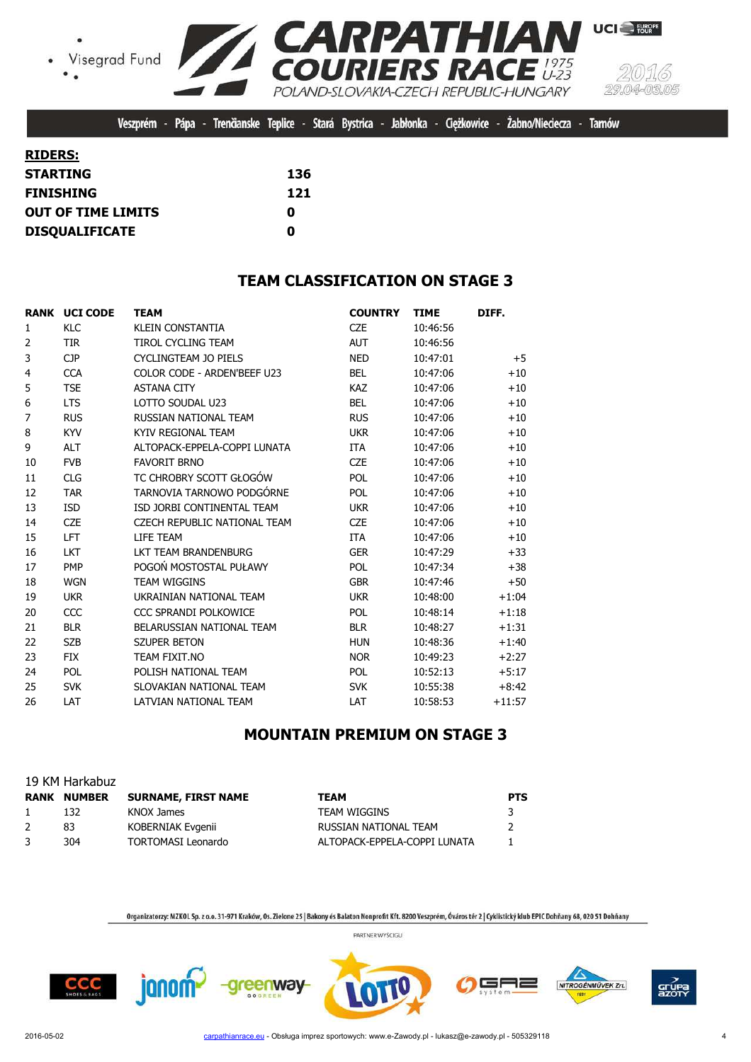Visegrad Fund  $\bullet$ 



Veszprém - Pápa - Trenčianske Teplice - Stará Bystrica - Jabłonka - Cieżkowice -Żabno/Nieciecza - Tarnów

| <b>RIDERS:</b>        |     |
|-----------------------|-----|
| STARTING              | 136 |
| FINISHING             | 121 |
| OUT OF TIME LIMITS    | O   |
| <b>DISQUALIFICATE</b> | Ω   |

## **TEAM CLASSIFICATION ON STAGE 3**

|                | <b>RANK UCI CODE</b> | <b>TEAM</b>                  | <b>COUNTRY</b> | <b>TIME</b> | DIFF.    |
|----------------|----------------------|------------------------------|----------------|-------------|----------|
| 1              | <b>KLC</b>           | <b>KLEIN CONSTANTIA</b>      | <b>CZE</b>     | 10:46:56    |          |
| $\overline{2}$ | <b>TIR</b>           | <b>TIROL CYCLING TEAM</b>    | <b>AUT</b>     | 10:46:56    |          |
| 3              | <b>CJP</b>           | CYCLINGTEAM JO PIELS         | <b>NED</b>     | 10:47:01    | $+5$     |
| 4              | <b>CCA</b>           | COLOR CODE - ARDEN'BEEF U23  | <b>BEL</b>     | 10:47:06    | $+10$    |
| 5              | <b>TSE</b>           | <b>ASTANA CITY</b>           | <b>KAZ</b>     | 10:47:06    | $+10$    |
| 6              | <b>LTS</b>           | LOTTO SOUDAL U23             | <b>BEL</b>     | 10:47:06    | $+10$    |
| 7              | <b>RUS</b>           | RUSSIAN NATIONAL TEAM        | <b>RUS</b>     | 10:47:06    | $+10$    |
| 8              | <b>KYV</b>           | KYIV REGIONAL TEAM           | <b>UKR</b>     | 10:47:06    | $+10$    |
| 9              | <b>ALT</b>           | ALTOPACK-EPPELA-COPPI LUNATA | <b>ITA</b>     | 10:47:06    | $+10$    |
| 10             | <b>FVB</b>           | <b>FAVORIT BRNO</b>          | <b>CZE</b>     | 10:47:06    | $+10$    |
| 11             | <b>CLG</b>           | TC CHROBRY SCOTT GŁOGÓW      | POL            | 10:47:06    | $+10$    |
| 12             | <b>TAR</b>           | TARNOVIA TARNOWO PODGÓRNE    | POL            | 10:47:06    | $+10$    |
| 13             | <b>ISD</b>           | ISD JORBI CONTINENTAL TEAM   | <b>UKR</b>     | 10:47:06    | $+10$    |
| 14             | <b>CZE</b>           | CZECH REPUBLIC NATIONAL TEAM | <b>CZE</b>     | 10:47:06    | $+10$    |
| 15             | LFT.                 | <b>I TFF TFAM</b>            | <b>ITA</b>     | 10:47:06    | $+10$    |
| 16             | <b>LKT</b>           | LKT TEAM BRANDENBURG         | <b>GER</b>     | 10:47:29    | $+33$    |
| 17             | <b>PMP</b>           | POGOŃ MOSTOSTAL PUŁAWY       | POL            | 10:47:34    | $+38$    |
| 18             | <b>WGN</b>           | <b>TEAM WIGGINS</b>          | <b>GBR</b>     | 10:47:46    | $+50$    |
| 19             | <b>UKR</b>           | UKRAINIAN NATIONAL TEAM      | <b>UKR</b>     | 10:48:00    | $+1:04$  |
| 20             | CCC                  | CCC SPRANDI POLKOWICE        | <b>POL</b>     | 10:48:14    | $+1:18$  |
| 21             | <b>BLR</b>           | BELARUSSIAN NATIONAL TEAM    | <b>BLR</b>     | 10:48:27    | $+1:31$  |
| 22             | <b>SZB</b>           | <b>SZUPER BETON</b>          | <b>HUN</b>     | 10:48:36    | $+1:40$  |
| 23             | <b>FIX</b>           | TEAM FIXIT.NO                | <b>NOR</b>     | 10:49:23    | $+2:27$  |
| 24             | <b>POL</b>           | POLISH NATIONAL TEAM         | <b>POL</b>     | 10:52:13    | $+5:17$  |
| 25             | <b>SVK</b>           | SLOVAKIAN NATIONAL TEAM      | <b>SVK</b>     | 10:55:38    | $+8:42$  |
| 26             | LAT                  | LATVIAN NATIONAL TEAM        | LAT            | 10:58:53    | $+11:57$ |

## **MOUNTAIN PREMIUM ON STAGE 3**

|               | 19 KM Harkabuz     |                            |                              |               |
|---------------|--------------------|----------------------------|------------------------------|---------------|
|               | <b>RANK NUMBER</b> | <b>SURNAME, FIRST NAME</b> | TEAM                         | <b>PTS</b>    |
| $\mathbf{1}$  | 132                | KNOX James                 | <b>TEAM WIGGINS</b>          | 3             |
| $\mathcal{L}$ | 83                 | KOBERNIAK Evgenii          | RUSSIAN NATIONAL TEAM        | $\mathcal{L}$ |
| 3             | 304                | <b>TORTOMASI Leonardo</b>  | ALTOPACK-EPPELA-COPPI LUNATA |               |

Organizatorzy: MZKOL Sp. z o.o. 31-971 Kraków, Os. Zielone 25 | Bakony és Balaton Nonprofit Kft. 8200 Veszprém, Óváros tér 2 | Cyklistický klub EPIC Dohňany 68, 020 51 Dohňany

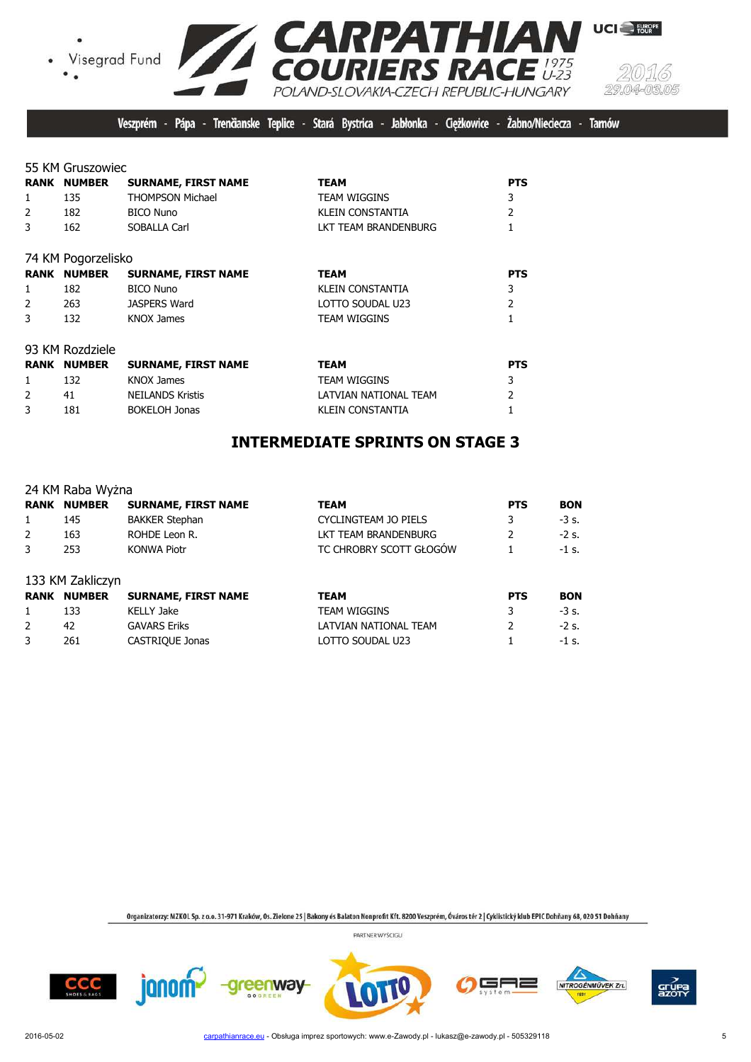





UCI<sup>-</sup>FURPE

Veszprém - Pápa - Trenčianske Teplice - Stará Bystrica - Jabłonka - Cieżkowice -Żabno/Nieciecza -**Tarnów** 

55 KM Gruszowiec

|              | <b>RANK NUMBER</b> | <b>SURNAME, FIRST NAME</b> | <b>TEAM</b>             | <b>PTS</b>     |
|--------------|--------------------|----------------------------|-------------------------|----------------|
| 1            | 135                | <b>THOMPSON Michael</b>    | <b>TEAM WIGGINS</b>     | 3              |
| 2            | 182                | <b>BICO Nuno</b>           | <b>KLEIN CONSTANTIA</b> | $\overline{2}$ |
| 3            | 162                | SOBALLA Carl               | LKT TEAM BRANDENBURG    |                |
|              | 74 KM Pogorzelisko |                            |                         |                |
|              | <b>RANK NUMBER</b> | <b>SURNAME, FIRST NAME</b> | <b>TEAM</b>             | <b>PTS</b>     |
| $\mathbf{1}$ | 182                | <b>BICO Nuno</b>           | KLEIN CONSTANTIA        | 3              |
| 2            | 263                | <b>JASPERS Ward</b>        | LOTTO SOUDAL U23        | $\overline{2}$ |
| 3            | 132                | KNOX James                 | <b>TEAM WIGGINS</b>     |                |
|              | 93 KM Rozdziele    |                            |                         |                |
|              | <b>RANK NUMBER</b> | <b>SURNAME, FIRST NAME</b> | <b>TEAM</b>             | <b>PTS</b>     |
| 1            | 132                | <b>KNOX James</b>          | <b>TEAM WIGGINS</b>     | 3              |
| 2            | 41                 | <b>NEILANDS Kristis</b>    | LATVIAN NATIONAL TEAM   | 2              |
| 3            | 181                | <b>BOKELOH Jonas</b>       | KLEIN CONSTANTIA        |                |

## **INTERMEDIATE SPRINTS ON STAGE 3**

|   | 24 KM Raba Wyżna   |                            |                         |            |            |
|---|--------------------|----------------------------|-------------------------|------------|------------|
|   | <b>RANK NUMBER</b> | <b>SURNAME, FIRST NAME</b> | <b>TEAM</b>             | <b>PTS</b> | <b>BON</b> |
| 1 | 145                | <b>BAKKER Stephan</b>      | CYCLINGTEAM JO PIELS    | 3          | $-3s$ .    |
| 2 | 163                | ROHDE Leon R.              | LKT TEAM BRANDENBURG    | 2          | $-2s$ .    |
| 3 | 253                | <b>KONWA Piotr</b>         | TC CHROBRY SCOTT GŁOGOW |            | $-1$ s.    |
|   | 133 KM Zakliczyn   |                            |                         |            |            |
|   | <b>RANK NUMBER</b> | <b>SURNAME, FIRST NAME</b> | <b>TEAM</b>             | <b>PTS</b> | <b>BON</b> |
| 1 | 133                | <b>KELLY Jake</b>          | <b>TEAM WIGGINS</b>     | 3          | $-3s$ .    |
| 2 | 42                 | <b>GAVARS Eriks</b>        | LATVIAN NATIONAL TEAM   |            | $-2$ s.    |

3 261 CASTRIQUE Jonas LOTTO SOUDAL U23 1 -1 s.

Organizatorzy: MZKOL Sp. z o.o. 31-971 Kraków, Os. Zielone 25 | Bakony és Balaton Nonprofit Kft. 8200 Veszprém, Óváros tér 2 | Cyklistický klub EPIC Dohňany 68, 020 51 Dohňany











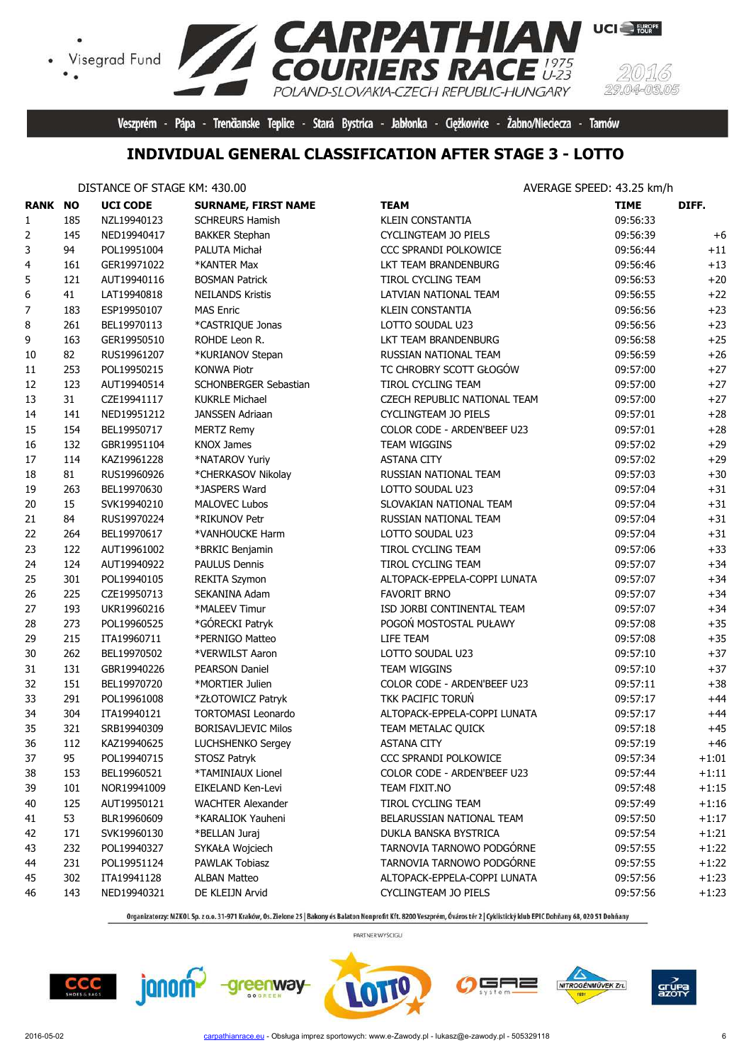

Veszprém - Pápa - Trenčianske Teplice - Stará Bystrica - Jabłonka - Ciężkowice - Żabno/Nieciecza - Tarnów

# **INDIVIDUAL GENERAL CLASSIFICATION AFTER STAGE 3 - LOTTO**

#### DISTANCE OF STAGE KM: 430.00 **AVERAGE SPEED: 43.25 km/h**

 $\bullet$ 

| <b>RANK NO</b> |     | <b>UCI CODE</b> | <b>SURNAME, FIRST NAME</b> | <b>TEAM</b>                  | <b>TIME</b> | DIFF.   |
|----------------|-----|-----------------|----------------------------|------------------------------|-------------|---------|
| 1              | 185 | NZL19940123     | <b>SCHREURS Hamish</b>     | <b>KLEIN CONSTANTIA</b>      | 09:56:33    |         |
| $\overline{2}$ | 145 | NED19940417     | <b>BAKKER Stephan</b>      | CYCLINGTEAM JO PIELS         | 09:56:39    | $+6$    |
| 3              | 94  | POL19951004     | PALUTA Michał              | CCC SPRANDI POLKOWICE        | 09:56:44    | $+11$   |
| 4              | 161 | GER19971022     | *KANTER Max                | LKT TEAM BRANDENBURG         | 09:56:46    | $+13$   |
| 5              | 121 | AUT19940116     | <b>BOSMAN Patrick</b>      | TIROL CYCLING TEAM           | 09:56:53    | $+20$   |
| 6              | 41  | LAT19940818     | <b>NEILANDS Kristis</b>    | LATVIAN NATIONAL TEAM        | 09:56:55    | $+22$   |
| 7              | 183 | ESP19950107     | <b>MAS Enric</b>           | <b>KLEIN CONSTANTIA</b>      | 09:56:56    | $+23$   |
| 8              | 261 | BEL19970113     | *CASTRIQUE Jonas           | LOTTO SOUDAL U23             | 09:56:56    | $+23$   |
| 9              | 163 | GER19950510     | ROHDE Leon R.              | LKT TEAM BRANDENBURG         | 09:56:58    | $+25$   |
| 10             | 82  | RUS19961207     | *KURIANOV Stepan           | RUSSIAN NATIONAL TEAM        | 09:56:59    | $+26$   |
| 11             | 253 | POL19950215     | <b>KONWA Piotr</b>         | TC CHROBRY SCOTT GŁOGÓW      | 09:57:00    | $+27$   |
| 12             | 123 | AUT19940514     | SCHONBERGER Sebastian      | TIROL CYCLING TEAM           | 09:57:00    | $+27$   |
| 13             | 31  | CZE19941117     | <b>KUKRLE Michael</b>      | CZECH REPUBLIC NATIONAL TEAM | 09:57:00    | $+27$   |
| 14             | 141 | NED19951212     | JANSSEN Adriaan            | CYCLINGTEAM JO PIELS         | 09:57:01    | $+28$   |
| 15             | 154 | BEL19950717     | <b>MERTZ Remy</b>          | COLOR CODE - ARDEN'BEEF U23  | 09:57:01    | $+28$   |
| 16             | 132 | GBR19951104     | <b>KNOX James</b>          | TEAM WIGGINS                 | 09:57:02    | $+29$   |
| 17             | 114 | KAZ19961228     | *NATAROV Yuriy             | <b>ASTANA CITY</b>           | 09:57:02    | $+29$   |
| 18             | 81  | RUS19960926     | *CHERKASOV Nikolay         | RUSSIAN NATIONAL TEAM        | 09:57:03    | $+30$   |
| 19             | 263 | BEL19970630     | *JASPERS Ward              | LOTTO SOUDAL U23             | 09:57:04    | $+31$   |
| 20             | 15  | SVK19940210     | <b>MALOVEC Lubos</b>       | SLOVAKIAN NATIONAL TEAM      | 09:57:04    | $+31$   |
| 21             | 84  | RUS19970224     | *RIKUNOV Petr              | RUSSIAN NATIONAL TEAM        | 09:57:04    | $+31$   |
| 22             | 264 | BEL19970617     | *VANHOUCKE Harm            | LOTTO SOUDAL U23             | 09:57:04    | $+31$   |
| 23             | 122 | AUT19961002     | *BRKIC Benjamin            | TIROL CYCLING TEAM           | 09:57:06    | $+33$   |
| 24             | 124 | AUT19940922     | <b>PAULUS Dennis</b>       | <b>TIROL CYCLING TEAM</b>    | 09:57:07    | $+34$   |
| 25             | 301 | POL19940105     | <b>REKITA Szymon</b>       | ALTOPACK-EPPELA-COPPI LUNATA | 09:57:07    | $+34$   |
| 26             | 225 | CZE19950713     | SEKANINA Adam              | <b>FAVORIT BRNO</b>          | 09:57:07    | $+34$   |
| 27             | 193 | UKR19960216     | *MALEEV Timur              | ISD JORBI CONTINENTAL TEAM   | 09:57:07    | $+34$   |
| 28             | 273 | POL19960525     | *GÓRECKI Patryk            | POGOŃ MOSTOSTAL PUŁAWY       | 09:57:08    | $+35$   |
| 29             | 215 | ITA19960711     | *PERNIGO Matteo            | LIFE TEAM                    | 09:57:08    | $+35$   |
| 30             | 262 | BEL19970502     | *VERWILST Aaron            | LOTTO SOUDAL U23             | 09:57:10    | $+37$   |
| 31             | 131 | GBR19940226     | <b>PEARSON Daniel</b>      | TEAM WIGGINS                 | 09:57:10    | $+37$   |
| 32             | 151 | BEL19970720     | *MORTIER Julien            | COLOR CODE - ARDEN'BEEF U23  | 09:57:11    | $+38$   |
| 33             | 291 | POL19961008     | *ZŁOTOWICZ Patryk          | TKK PACIFIC TORUŃ            | 09:57:17    | $+44$   |
| 34             | 304 | ITA19940121     | TORTOMASI Leonardo         | ALTOPACK-EPPELA-COPPI LUNATA | 09:57:17    | $+44$   |
| 35             | 321 | SRB19940309     | <b>BORISAVLJEVIC Milos</b> | TEAM METALAC OUICK           | 09:57:18    | $+45$   |
| 36             | 112 | KAZ19940625     | LUCHSHENKO Sergey          | <b>ASTANA CITY</b>           | 09:57:19    | $+46$   |
| 37             | 95  | POL19940715     | STOSZ Patryk               | CCC SPRANDI POLKOWICE        | 09:57:34    | $+1:01$ |
| 38             | 153 | BEL19960521     | *TAMINIAUX Lionel          | COLOR CODE - ARDEN'BEEF U23  | 09:57:44    | $+1:11$ |
| 39             | 101 | NOR19941009     | EIKELAND Ken-Levi          | TEAM FIXIT.NO                | 09:57:48    | $+1:15$ |
| 40             | 125 | AUT19950121     | <b>WACHTER Alexander</b>   | TIROL CYCLING TEAM           | 09:57:49    | $+1:16$ |
| 41             | 53  | BLR19960609     | *KARALIOK Yauheni          | BELARUSSIAN NATIONAL TEAM    | 09:57:50    | $+1:17$ |
| 42             | 171 | SVK19960130     | *BELLAN Juraj              | DUKLA BANSKA BYSTRICA        | 09:57:54    | $+1:21$ |
| 43             | 232 | POL19940327     | SYKAŁA Wojciech            | TARNOVIA TARNOWO PODGÓRNE    | 09:57:55    | $+1:22$ |
| 44             | 231 | POL19951124     | PAWLAK Tobiasz             | TARNOVIA TARNOWO PODGÓRNE    | 09:57:55    | $+1:22$ |
| 45             | 302 | ITA19941128     | <b>ALBAN Matteo</b>        | ALTOPACK-EPPELA-COPPI LUNATA | 09:57:56    | $+1:23$ |
| 46             | 143 | NED19940321     | DE KLEIJN Arvid            | CYCLINGTEAM JO PIELS         | 09:57:56    | $+1:23$ |

Organizatorzy: MZKOL Sp. z o.o. 31-971 Kraków, Os. Zielone 25 | Bakony és Balaton Nonprofit Kft. 8200 Veszprém, Óváros tér 2 | Cyklistický klub EPIC Dohňany 68, 020 51 Dohňany







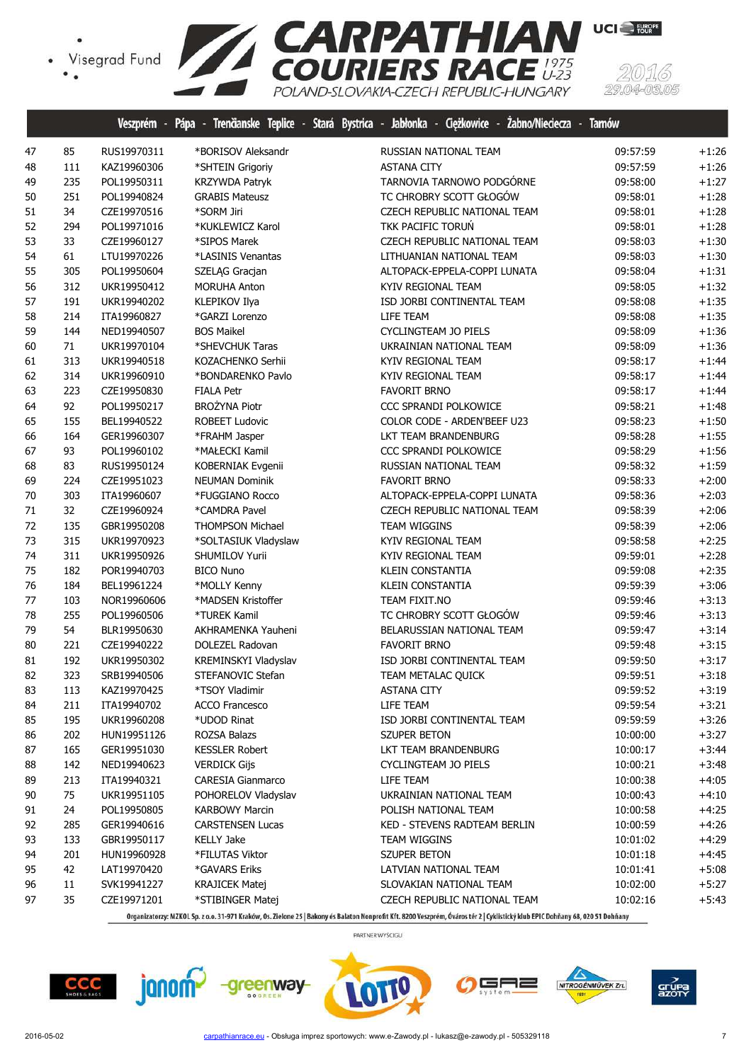

|    |     |             |                          | veszprem - Papa - Irenganske leplice - Stara Bystrica - Jabionka - Lięzkowice - Zabno/Niegecza - larnow |          |         |
|----|-----|-------------|--------------------------|---------------------------------------------------------------------------------------------------------|----------|---------|
| 47 | 85  | RUS19970311 | *BORISOV Aleksandr       | RUSSIAN NATIONAL TEAM                                                                                   | 09:57:59 | $+1:26$ |
| 48 | 111 | KAZ19960306 | *SHTEIN Grigoriy         | <b>ASTANA CITY</b>                                                                                      | 09:57:59 | $+1:26$ |
| 49 | 235 | POL19950311 | KRZYWDA Patryk           | TARNOVIA TARNOWO PODGÓRNE                                                                               | 09:58:00 | $+1:27$ |
| 50 | 251 | POL19940824 | <b>GRABIS Mateusz</b>    | TC CHROBRY SCOTT GŁOGÓW                                                                                 | 09:58:01 | $+1:28$ |
| 51 | 34  | CZE19970516 | *SORM Jiri               | CZECH REPUBLIC NATIONAL TEAM                                                                            | 09:58:01 | $+1:28$ |
| 52 | 294 | POL19971016 | *KUKLEWICZ Karol         | TKK PACIFIC TORUŃ                                                                                       | 09:58:01 | $+1:28$ |
| 53 | 33  | CZE19960127 | *SIPOS Marek             | CZECH REPUBLIC NATIONAL TEAM                                                                            | 09:58:03 | $+1:30$ |
| 54 | 61  | LTU19970226 | *LASINIS Venantas        | LITHUANIAN NATIONAL TEAM                                                                                | 09:58:03 | $+1:30$ |
| 55 | 305 | POL19950604 | SZELĄG Gracjan           | ALTOPACK-EPPELA-COPPI LUNATA                                                                            | 09:58:04 | $+1:31$ |
| 56 | 312 | UKR19950412 | <b>MORUHA Anton</b>      | KYIV REGIONAL TEAM                                                                                      | 09:58:05 | $+1:32$ |
| 57 | 191 | UKR19940202 | KLEPIKOV Ilya            | ISD JORBI CONTINENTAL TEAM                                                                              | 09:58:08 | $+1:35$ |
| 58 | 214 | ITA19960827 | *GARZI Lorenzo           | LIFE TEAM                                                                                               | 09:58:08 | $+1:35$ |
| 59 | 144 | NED19940507 | <b>BOS Maikel</b>        | CYCLINGTEAM JO PIELS                                                                                    | 09:58:09 | $+1:36$ |
| 60 | 71  | UKR19970104 | *SHEVCHUK Taras          | UKRAINIAN NATIONAL TEAM                                                                                 | 09:58:09 | $+1:36$ |
| 61 | 313 | UKR19940518 | KOZACHENKO Serhii        | KYIV REGIONAL TEAM                                                                                      | 09:58:17 | $+1:44$ |
| 62 | 314 | UKR19960910 | *BONDARENKO Pavlo        | KYIV REGIONAL TEAM                                                                                      | 09:58:17 | $+1:44$ |
| 63 | 223 | CZE19950830 | <b>FIALA Petr</b>        | <b>FAVORIT BRNO</b>                                                                                     | 09:58:17 | $+1:44$ |
| 64 | 92  | POL19950217 | <b>BROŻYNA Piotr</b>     | CCC SPRANDI POLKOWICE                                                                                   | 09:58:21 | $+1:48$ |
| 65 | 155 | BEL19940522 | ROBEET Ludovic           | COLOR CODE - ARDEN'BEEF U23                                                                             | 09:58:23 | $+1:50$ |
| 66 | 164 | GER19960307 | *FRAHM Jasper            | LKT TEAM BRANDENBURG                                                                                    | 09:58:28 | $+1:55$ |
| 67 | 93  | POL19960102 | *MAŁECKI Kamil           | CCC SPRANDI POLKOWICE                                                                                   | 09:58:29 | $+1:56$ |
| 68 | 83  | RUS19950124 | KOBERNIAK Evgenii        | RUSSIAN NATIONAL TEAM                                                                                   | 09:58:32 | $+1:59$ |
| 69 | 224 | CZE19951023 | <b>NEUMAN Dominik</b>    | <b>FAVORIT BRNO</b>                                                                                     | 09:58:33 | $+2:00$ |
| 70 | 303 | ITA19960607 | *FUGGIANO Rocco          | ALTOPACK-EPPELA-COPPI LUNATA                                                                            | 09:58:36 | $+2:03$ |
| 71 | 32  | CZE19960924 | *CAMDRA Pavel            | CZECH REPUBLIC NATIONAL TEAM                                                                            | 09:58:39 | $+2:06$ |
| 72 | 135 | GBR19950208 | THOMPSON Michael         | <b>TEAM WIGGINS</b>                                                                                     | 09:58:39 | $+2:06$ |
| 73 | 315 | UKR19970923 | *SOLTASIUK Vladyslaw     | KYIV REGIONAL TEAM                                                                                      | 09:58:58 | $+2:25$ |
| 74 | 311 | UKR19950926 | SHUMILOV Yurii           | KYIV REGIONAL TEAM                                                                                      | 09:59:01 | $+2:28$ |
| 75 | 182 | POR19940703 | <b>BICO Nuno</b>         | <b>KLEIN CONSTANTIA</b>                                                                                 | 09:59:08 | $+2:35$ |
| 76 | 184 | BEL19961224 | *MOLLY Kenny             | <b>KLEIN CONSTANTIA</b>                                                                                 | 09:59:39 | $+3:06$ |
| 77 | 103 | NOR19960606 | *MADSEN Kristoffer       | TEAM FIXIT.NO                                                                                           | 09:59:46 | $+3:13$ |
| 78 | 255 | POL19960506 | *TUREK Kamil             | TC CHROBRY SCOTT GŁOGÓW                                                                                 | 09:59:46 | $+3:13$ |
| 79 | 54  | BLR19950630 | AKHRAMENKA Yauheni       | BELARUSSIAN NATIONAL TEAM                                                                               | 09:59:47 | $+3:14$ |
| 80 | 221 | CZE19940222 | DOLEZEL Radovan          | <b>FAVORIT BRNO</b>                                                                                     | 09:59:48 | $+3:15$ |
| 81 | 192 | UKR19950302 | KREMINSKYI Vladyslav     | ISD JORBI CONTINENTAL TEAM                                                                              | 09:59:50 | $+3:17$ |
| 82 | 323 | SRB19940506 | STEFANOVIC Stefan        | TEAM METALAC QUICK                                                                                      | 09:59:51 | $+3:18$ |
| 83 | 113 | KAZ19970425 | *TSOY Vladimir           | <b>ASTANA CITY</b>                                                                                      | 09:59:52 | $+3:19$ |
| 84 | 211 | ITA19940702 | <b>ACCO Francesco</b>    | LIFE TEAM                                                                                               | 09:59:54 | $+3:21$ |
| 85 | 195 | UKR19960208 | *UDOD Rinat              | ISD JORBI CONTINENTAL TEAM                                                                              | 09:59:59 | $+3:26$ |
| 86 | 202 | HUN19951126 | ROZSA Balazs             | SZUPER BETON                                                                                            | 10:00:00 | $+3:27$ |
| 87 | 165 | GER19951030 | <b>KESSLER Robert</b>    | LKT TEAM BRANDENBURG                                                                                    | 10:00:17 | $+3:44$ |
| 88 | 142 | NED19940623 | <b>VERDICK Gijs</b>      | CYCLINGTEAM JO PIELS                                                                                    | 10:00:21 | $+3:48$ |
| 89 | 213 | ITA19940321 | <b>CARESIA Gianmarco</b> | LIFE TEAM                                                                                               | 10:00:38 | $+4:05$ |
| 90 | 75  | UKR19951105 | POHORELOV Vladyslav      | UKRAINIAN NATIONAL TEAM                                                                                 | 10:00:43 | $+4:10$ |
| 91 | 24  | POL19950805 | <b>KARBOWY Marcin</b>    | POLISH NATIONAL TEAM                                                                                    | 10:00:58 | $+4:25$ |
| 92 | 285 | GER19940616 | <b>CARSTENSEN Lucas</b>  | KED - STEVENS RADTEAM BERLIN                                                                            | 10:00:59 | $+4:26$ |
| 93 | 133 | GBR19950117 | <b>KELLY Jake</b>        | <b>TEAM WIGGINS</b>                                                                                     | 10:01:02 | $+4:29$ |
| 94 | 201 | HUN19960928 | *FILUTAS Viktor          | SZUPER BETON                                                                                            | 10:01:18 | +4:45   |
| 95 | 42  | LAT19970420 | *GAVARS Eriks            | LATVIAN NATIONAL TEAM                                                                                   | 10:01:41 | $+5:08$ |
| 96 | 11  | SVK19941227 | <b>KRAJICEK Matej</b>    | SLOVAKIAN NATIONAL TEAM                                                                                 | 10:02:00 | $+5:27$ |
| 97 | 35  | CZE19971201 | *STIBINGER Matej         | CZECH REPUBLIC NATIONAL TEAM                                                                            | 10:02:16 | $+5:43$ |
|    |     |             |                          |                                                                                                         |          |         |

Organizatorzy: MZKOL Sp. z o.o. 31-971 Kraków, Os. Zielone 25 | Bakony és Balaton Nonprofit Kft. 8200 Veszprém, Óváros tér 2 | Cyklistický klub EPIC Dohňany 68, 020 51 Dohňany

PARTNER WYŚCIGU











(5)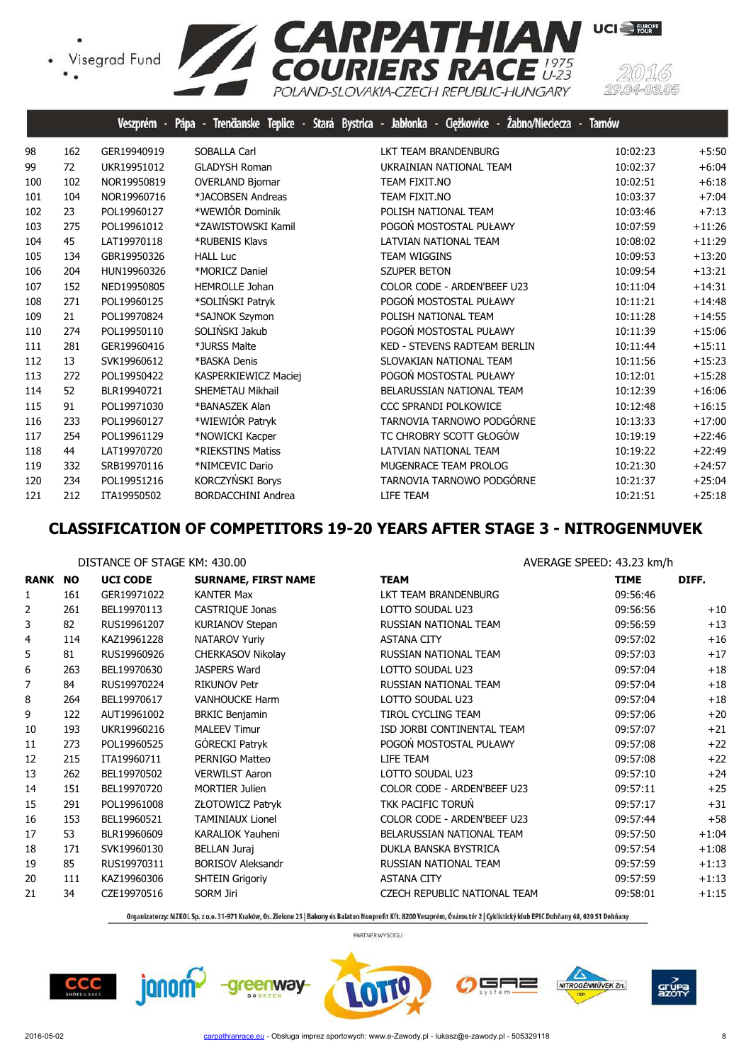

|     |     | Veszprém -  | Trenäanske Teplice - Stará Bystrica -<br>Pápa | Jabłonka - Ciężkowice -<br>Zabno/Nieciecza | <b>Tamów</b> |          |
|-----|-----|-------------|-----------------------------------------------|--------------------------------------------|--------------|----------|
| 98  | 162 | GER19940919 | <b>SOBALLA Carl</b>                           | <b>LKT TEAM BRANDENBURG</b>                | 10:02:23     | $+5:50$  |
| 99  | 72  | UKR19951012 | <b>GLADYSH Roman</b>                          | UKRAINIAN NATIONAL TEAM                    | 10:02:37     | $+6:04$  |
| 100 | 102 | NOR19950819 | <b>OVERLAND Bjornar</b>                       | TEAM FIXIT.NO                              | 10:02:51     | $+6:18$  |
| 101 | 104 | NOR19960716 | *JACOBSEN Andreas                             | TEAM FIXIT.NO                              | 10:03:37     | $+7:04$  |
| 102 | 23  | POL19960127 | *WEWIÓR Dominik                               | POLISH NATIONAL TEAM                       | 10:03:46     | $+7:13$  |
| 103 | 275 | POL19961012 | *ZAWISTOWSKI Kamil                            | POGOŃ MOSTOSTAL PUŁAWY                     | 10:07:59     | $+11:26$ |
| 104 | 45  | LAT19970118 | *RUBENIS Klavs                                | <b>LATVIAN NATIONAL TEAM</b>               | 10:08:02     | $+11:29$ |
| 105 | 134 | GBR19950326 | <b>HALL Luc</b>                               | <b>TEAM WIGGINS</b>                        | 10:09:53     | $+13:20$ |
| 106 | 204 | HUN19960326 | *MORICZ Daniel                                | <b>SZUPER BETON</b>                        | 10:09:54     | $+13:21$ |
| 107 | 152 | NED19950805 | <b>HEMROLLE Johan</b>                         | COLOR CODE - ARDEN'BEEF U23                | 10:11:04     | $+14:31$ |
| 108 | 271 | POL19960125 | *SOLIŃSKI Patryk                              | POGOŃ MOSTOSTAL PUŁAWY                     | 10:11:21     | $+14:48$ |
| 109 | 21  | POL19970824 | *SAJNOK Szymon                                | POLISH NATIONAL TEAM                       | 10:11:28     | $+14:55$ |
| 110 | 274 | POL19950110 | SOLIŃSKI Jakub                                | POGOŃ MOSTOSTAL PUŁAWY                     | 10:11:39     | $+15:06$ |
| 111 | 281 | GER19960416 | *JURSS Malte                                  | <b>KED - STEVENS RADTEAM BERLIN</b>        | 10:11:44     | $+15:11$ |
| 112 | 13  | SVK19960612 | *BASKA Denis                                  | SLOVAKIAN NATIONAL TEAM                    | 10:11:56     | $+15:23$ |
| 113 | 272 | POL19950422 | KASPERKIEWICZ Maciej                          | POGOŃ MOSTOSTAL PUŁAWY                     | 10:12:01     | $+15:28$ |
| 114 | 52  | BLR19940721 | SHEMETAU Mikhail                              | BELARUSSIAN NATIONAL TEAM                  | 10:12:39     | $+16:06$ |
| 115 | 91  | POL19971030 | *BANASZEK Alan                                | CCC SPRANDI POLKOWICE                      | 10:12:48     | $+16:15$ |
| 116 | 233 | POL19960127 | *WIEWIÓR Patryk                               | TARNOVIA TARNOWO PODGÓRNE                  | 10:13:33     | $+17:00$ |
| 117 | 254 | POL19961129 | *NOWICKI Kacper                               | TC CHROBRY SCOTT GŁOGÓW                    | 10:19:19     | $+22:46$ |
| 118 | 44  | LAT19970720 | *RIEKSTINS Matiss                             | <b>LATVIAN NATIONAL TEAM</b>               | 10:19:22     | $+22:49$ |
| 119 | 332 | SRB19970116 | *NIMCEVIC Dario                               | MUGENRACE TEAM PROLOG                      | 10:21:30     | $+24:57$ |
| 120 | 234 | POL19951216 | KORCZYŃSKI Borys                              | TARNOVIA TARNOWO PODGÓRNE                  | 10:21:37     | $+25:04$ |
| 121 | 212 | ITA19950502 | <b>BORDACCHINI Andrea</b>                     | LIFE TEAM                                  | 10:21:51     | $+25:18$ |

## **CLASSIFICATION OF COMPETITORS 19-20 YEARS AFTER STAGE 3 - NITROGENMUVEK**

|                |     | DISTANCE OF STAGE KM: 430.00 |                            | AVERAGE SPEED: 43.23 km/h    |             |         |  |
|----------------|-----|------------------------------|----------------------------|------------------------------|-------------|---------|--|
| <b>RANK NO</b> |     | <b>UCI CODE</b>              | <b>SURNAME, FIRST NAME</b> | <b>TEAM</b>                  | <b>TIME</b> | DIFF.   |  |
| $\mathbf{1}$   | 161 | GER19971022                  | <b>KANTER Max</b>          | LKT TEAM BRANDENBURG         | 09:56:46    |         |  |
| 2              | 261 | BEL19970113                  | CASTRIQUE Jonas            | LOTTO SOUDAL U23             | 09:56:56    | $+10$   |  |
| 3              | 82  | RUS19961207                  | <b>KURIANOV Stepan</b>     | RUSSIAN NATIONAL TEAM        | 09:56:59    | $+13$   |  |
| 4              | 114 | KAZ19961228                  | <b>NATAROV Yuriy</b>       | <b>ASTANA CITY</b>           | 09:57:02    | $+16$   |  |
| 5              | 81  | RUS19960926                  | <b>CHERKASOV Nikolay</b>   | RUSSIAN NATIONAL TEAM        | 09:57:03    | $+17$   |  |
| 6              | 263 | BEL19970630                  | JASPERS Ward               | LOTTO SOUDAL U23             | 09:57:04    | $+18$   |  |
| 7              | 84  | RUS19970224                  | <b>RIKUNOV Petr</b>        | RUSSIAN NATIONAL TEAM        | 09:57:04    | $+18$   |  |
| 8              | 264 | BEL19970617                  | <b>VANHOUCKE Harm</b>      | LOTTO SOUDAL U23             | 09:57:04    | $+18$   |  |
| 9              | 122 | AUT19961002                  | <b>BRKIC Benjamin</b>      | TIROL CYCLING TEAM           | 09:57:06    | $+20$   |  |
| 10             | 193 | UKR19960216                  | <b>MALEEV Timur</b>        | ISD JORBI CONTINENTAL TEAM   | 09:57:07    | $+21$   |  |
| 11             | 273 | POL19960525                  | GÓRECKI Patryk             | POGOŃ MOSTOSTAL PUŁAWY       | 09:57:08    | $+22$   |  |
| 12             | 215 | ITA19960711                  | PERNIGO Matteo             | LIFE TEAM                    | 09:57:08    | $+22$   |  |
| 13             | 262 | BEL19970502                  | <b>VERWILST Aaron</b>      | LOTTO SOUDAL U23             | 09:57:10    | $+24$   |  |
| 14             | 151 | BEL19970720                  | <b>MORTIER Julien</b>      | COLOR CODE - ARDEN'BEEF U23  | 09:57:11    | $+25$   |  |
| 15             | 291 | POL19961008                  | ZŁOTOWICZ Patryk           | TKK PACIFIC TORUŃ            | 09:57:17    | $+31$   |  |
| 16             | 153 | BEL19960521                  | <b>TAMINIAUX Lionel</b>    | COLOR CODE - ARDEN'BEEF U23  | 09:57:44    | $+58$   |  |
| 17             | 53  | BLR19960609                  | KARALIOK Yauheni           | BELARUSSIAN NATIONAL TEAM    | 09:57:50    | $+1:04$ |  |
| 18             | 171 | SVK19960130                  | <b>BELLAN Juraj</b>        | DUKLA BANSKA BYSTRICA        | 09:57:54    | $+1:08$ |  |
| 19             | 85  | RUS19970311                  | <b>BORISOV Aleksandr</b>   | RUSSIAN NATIONAL TEAM        | 09:57:59    | $+1:13$ |  |
| 20             | 111 | KAZ19960306                  | <b>SHTEIN Grigoriy</b>     | <b>ASTANA CITY</b>           | 09:57:59    | $+1:13$ |  |
| 21             | 34  | CZE19970516                  | <b>SORM Jiri</b>           | CZECH REPUBLIC NATIONAL TEAM | 09:58:01    | $+1:15$ |  |
|                |     |                              |                            |                              |             |         |  |

Organizatorzy: MZKOL Sp. z o.o. 31-971 Kraków, Os. Zielone 25 | Bakony és Balaton Nonprofit Kft. 8200 Veszprém, Óváros tér 2 | Cyklistický klub EPIC Dohňany 68, 020 51 Dohňany







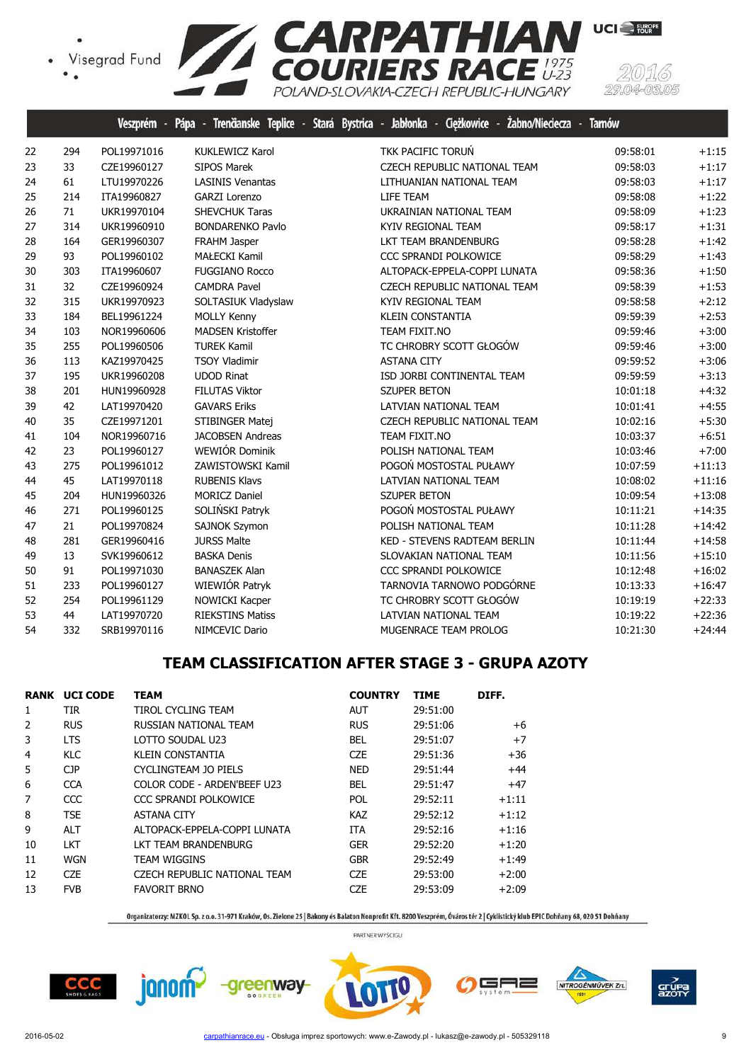

|    |     |             |                          | Veszprém - Pápa - Trencianske Teplice - Stará Bystrica - Jabłonka - Cięzkowice - Zabno/Nieciecza - Tarnow |          |          |
|----|-----|-------------|--------------------------|-----------------------------------------------------------------------------------------------------------|----------|----------|
| 22 | 294 | POL19971016 | <b>KUKLEWICZ Karol</b>   | TKK PACIFIC TORUŃ                                                                                         | 09:58:01 | $+1:15$  |
| 23 | 33  | CZE19960127 | <b>SIPOS Marek</b>       | CZECH REPUBLIC NATIONAL TEAM                                                                              | 09:58:03 | $+1:17$  |
| 24 | 61  | LTU19970226 | <b>LASINIS Venantas</b>  | LITHUANIAN NATIONAL TEAM                                                                                  | 09:58:03 | $+1:17$  |
| 25 | 214 | ITA19960827 | <b>GARZI Lorenzo</b>     | LIFE TEAM                                                                                                 | 09:58:08 | $+1:22$  |
| 26 | 71  | UKR19970104 | <b>SHEVCHUK Taras</b>    | UKRAINIAN NATIONAL TEAM                                                                                   | 09:58:09 | $+1:23$  |
| 27 | 314 | UKR19960910 | <b>BONDARENKO Pavlo</b>  | KYIV REGIONAL TEAM                                                                                        | 09:58:17 | $+1:31$  |
| 28 | 164 | GER19960307 | FRAHM Jasper             | LKT TEAM BRANDENBURG                                                                                      | 09:58:28 | $+1:42$  |
| 29 | 93  | POL19960102 | <b>MAŁECKI Kamil</b>     | CCC SPRANDI POLKOWICE                                                                                     | 09:58:29 | $+1:43$  |
| 30 | 303 | ITA19960607 | <b>FUGGIANO Rocco</b>    | ALTOPACK-EPPELA-COPPI LUNATA                                                                              | 09:58:36 | $+1:50$  |
| 31 | 32  | CZE19960924 | <b>CAMDRA Pavel</b>      | CZECH REPUBLIC NATIONAL TEAM                                                                              | 09:58:39 | $+1:53$  |
| 32 | 315 | UKR19970923 | SOLTASIUK Vladyslaw      | KYIV REGIONAL TEAM                                                                                        | 09:58:58 | $+2:12$  |
| 33 | 184 | BEL19961224 | <b>MOLLY Kenny</b>       | <b>KLEIN CONSTANTIA</b>                                                                                   | 09:59:39 | $+2:53$  |
| 34 | 103 | NOR19960606 | <b>MADSEN Kristoffer</b> | TEAM FIXIT.NO                                                                                             | 09:59:46 | $+3:00$  |
| 35 | 255 | POL19960506 | <b>TUREK Kamil</b>       | TC CHROBRY SCOTT GŁOGÓW                                                                                   | 09:59:46 | $+3:00$  |
| 36 | 113 | KAZ19970425 | <b>TSOY Vladimir</b>     | <b>ASTANA CITY</b>                                                                                        | 09:59:52 | $+3:06$  |
| 37 | 195 | UKR19960208 | <b>UDOD Rinat</b>        | ISD JORBI CONTINENTAL TEAM                                                                                | 09:59:59 | $+3:13$  |
| 38 | 201 | HUN19960928 | <b>FILUTAS Viktor</b>    | <b>SZUPER BETON</b>                                                                                       | 10:01:18 | $+4:32$  |
| 39 | 42  | LAT19970420 | <b>GAVARS Eriks</b>      | LATVIAN NATIONAL TEAM                                                                                     | 10:01:41 | $+4:55$  |
| 40 | 35  | CZE19971201 | STIBINGER Matej          | CZECH REPUBLIC NATIONAL TEAM                                                                              | 10:02:16 | $+5:30$  |
| 41 | 104 | NOR19960716 | <b>JACOBSEN Andreas</b>  | TEAM FIXIT.NO                                                                                             | 10:03:37 | $+6:51$  |
| 42 | 23  | POL19960127 | WEWIÓR Dominik           | POLISH NATIONAL TEAM                                                                                      | 10:03:46 | $+7:00$  |
| 43 | 275 | POL19961012 | ZAWISTOWSKI Kamil        | POGOŃ MOSTOSTAL PUŁAWY                                                                                    | 10:07:59 | $+11:13$ |
| 44 | 45  | LAT19970118 | <b>RUBENIS Klavs</b>     | LATVIAN NATIONAL TEAM                                                                                     | 10:08:02 | $+11:16$ |
| 45 | 204 | HUN19960326 | <b>MORICZ Daniel</b>     | <b>SZUPER BETON</b>                                                                                       | 10:09:54 | $+13:08$ |
| 46 | 271 | POL19960125 | SOLIŃSKI Patryk          | POGOŃ MOSTOSTAL PUŁAWY                                                                                    | 10:11:21 | $+14:35$ |
| 47 | 21  | POL19970824 | SAJNOK Szymon            | POLISH NATIONAL TEAM                                                                                      | 10:11:28 | $+14:42$ |
| 48 | 281 | GER19960416 | <b>JURSS Malte</b>       | KED - STEVENS RADTEAM BERLIN                                                                              | 10:11:44 | $+14:58$ |
| 49 | 13  | SVK19960612 | <b>BASKA Denis</b>       | SLOVAKIAN NATIONAL TEAM                                                                                   | 10:11:56 | $+15:10$ |
| 50 | 91  | POL19971030 | <b>BANASZEK Alan</b>     | CCC SPRANDI POLKOWICE                                                                                     | 10:12:48 | $+16:02$ |
| 51 | 233 | POL19960127 | WIEWIÓR Patryk           | TARNOVIA TARNOWO PODGÓRNE                                                                                 | 10:13:33 | $+16:47$ |
| 52 | 254 | POL19961129 | NOWICKI Kacper           | TC CHROBRY SCOTT GŁOGÓW                                                                                   | 10:19:19 | $+22:33$ |
| 53 | 44  | LAT19970720 | <b>RIEKSTINS Matiss</b>  | LATVIAN NATIONAL TEAM                                                                                     | 10:19:22 | $+22:36$ |
| 54 | 332 | SRB19970116 | NIMCEVIC Dario           | MUGENRACE TEAM PROLOG                                                                                     | 10:21:30 | $+24:44$ |

## **TEAM CLASSIFICATION AFTER STAGE 3 - GRUPA AZOTY**

| RANK | <b>UCI CODE</b> | <b>TEAM</b>                  | <b>COUNTRY</b> | <b>TIME</b> | DIFF.   |
|------|-----------------|------------------------------|----------------|-------------|---------|
| 1    | TIR.            | TIROL CYCLING TEAM           | AUT            | 29:51:00    |         |
| 2    | <b>RUS</b>      | RUSSIAN NATIONAL TEAM        | <b>RUS</b>     | 29:51:06    | +6      |
| 3    | <b>LTS</b>      | LOTTO SOUDAL U23             | <b>BEL</b>     | 29:51:07    | $+7$    |
| 4    | KLC             | <b>KLEIN CONSTANTIA</b>      | <b>CZE</b>     | 29:51:36    | $+36$   |
| 5    | <b>CJP</b>      | CYCLINGTEAM JO PIELS         | <b>NED</b>     | 29:51:44    | $+44$   |
| 6    | <b>CCA</b>      | COLOR CODE - ARDEN'BEEF U23  | <b>BEL</b>     | 29:51:47    | $+47$   |
| 7    | CCC             | CCC SPRANDI POLKOWICE        | <b>POL</b>     | 29:52:11    | $+1:11$ |
| 8    | <b>TSE</b>      | <b>ASTANA CITY</b>           | <b>KAZ</b>     | 29:52:12    | $+1:12$ |
| 9    | <b>ALT</b>      | ALTOPACK-EPPELA-COPPI LUNATA | <b>ITA</b>     | 29:52:16    | $+1:16$ |
| 10   | <b>LKT</b>      | LKT TEAM BRANDENBURG         | <b>GER</b>     | 29:52:20    | $+1:20$ |
| 11   | <b>WGN</b>      | <b>TEAM WIGGINS</b>          | <b>GBR</b>     | 29:52:49    | $+1:49$ |
| 12   | <b>CZE</b>      | CZECH REPUBLIC NATIONAL TEAM | <b>CZE</b>     | 29:53:00    | $+2:00$ |
| 13   | <b>FVB</b>      | <b>FAVORIT BRNO</b>          | <b>CZE</b>     | 29:53:09    | $+2:09$ |

janom -greenway-

Organizatorzy: MZKOL Sp. z o.o. 31-971 Kraków, Os. Zielone 25 | Bakony és Balaton Nonprofit Kft. 8200 Veszprém, Óváros tér 2 | Cyklistický klub EPIC Dohňany 68, 020 51 Dohňany



PARTNER WYŚCIGU





grúp<br>azot

╕═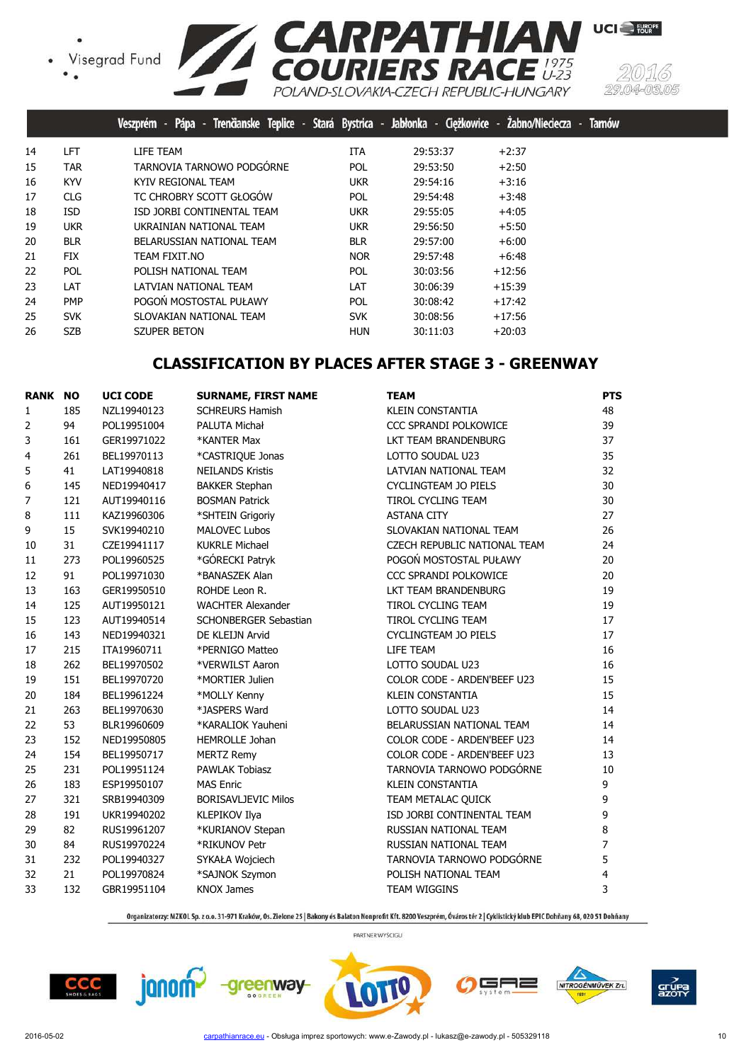



UCI<sup>-</sup>FURPE

Visegrad Fund COURIERS RACE 1975

|    |            | Trenčianske Teplice - Stará Bystrica - Jabłonka - Ciężkowice - Żabno/Nieciecza -<br>Pápa -<br><b>Veszprém</b> |            |          |          | <b>Tarnów</b> |
|----|------------|---------------------------------------------------------------------------------------------------------------|------------|----------|----------|---------------|
| 14 | LFT        | LIFE TEAM                                                                                                     | <b>ITA</b> | 29:53:37 | $+2:37$  |               |
| 15 | <b>TAR</b> | TARNOVIA TARNOWO PODGÓRNE                                                                                     | <b>POL</b> | 29:53:50 | $+2:50$  |               |
| 16 | <b>KYV</b> | KYIV REGIONAL TEAM                                                                                            | <b>UKR</b> | 29:54:16 | $+3:16$  |               |
| 17 | <b>CLG</b> | TC CHROBRY SCOTT GŁOGÓW                                                                                       | <b>POL</b> | 29:54:48 | $+3:48$  |               |
| 18 | <b>ISD</b> | ISD JORBI CONTINENTAL TEAM                                                                                    | <b>UKR</b> | 29:55:05 | $+4:05$  |               |
| 19 | <b>UKR</b> | UKRAINIAN NATIONAL TEAM                                                                                       | <b>UKR</b> | 29:56:50 | $+5:50$  |               |
| 20 | <b>BLR</b> | BELARUSSIAN NATIONAL TEAM                                                                                     | <b>BLR</b> | 29:57:00 | $+6:00$  |               |
| 21 | <b>FIX</b> | TEAM FIXIT.NO                                                                                                 | <b>NOR</b> | 29:57:48 | $+6:48$  |               |
| 22 | POL        | POLISH NATIONAL TEAM                                                                                          | <b>POL</b> | 30:03:56 | $+12:56$ |               |
| 23 | LAT        | LATVIAN NATIONAL TEAM                                                                                         | LAT        | 30:06:39 | $+15:39$ |               |
| 24 | <b>PMP</b> | POGOŃ MOSTOSTAL PUŁAWY                                                                                        | <b>POL</b> | 30:08:42 | $+17:42$ |               |
| 25 | <b>SVK</b> | SLOVAKIAN NATIONAL TEAM                                                                                       | <b>SVK</b> | 30:08:56 | $+17:56$ |               |
| 26 | <b>SZB</b> | SZUPER BETON                                                                                                  | <b>HUN</b> | 30:11:03 | $+20:03$ |               |
|    |            |                                                                                                               |            |          |          |               |

# **CLASSIFICATION BY PLACES AFTER STAGE 3 - GREENWAY**

| <b>RANK NO</b> |     | <b>UCI CODE</b> | <b>SURNAME, FIRST NAME</b> | <b>TEAM</b>                  | <b>PTS</b> |
|----------------|-----|-----------------|----------------------------|------------------------------|------------|
| 1              | 185 | NZL19940123     | <b>SCHREURS Hamish</b>     | <b>KLEIN CONSTANTIA</b>      | 48         |
| 2              | 94  | POL19951004     | PALUTA Michał              | CCC SPRANDI POLKOWICE        | 39         |
| 3              | 161 | GER19971022     | *KANTER Max                | LKT TEAM BRANDENBURG         | 37         |
| 4              | 261 | BEL19970113     | *CASTRIOUE Jonas           | LOTTO SOUDAL U23             | 35         |
| 5              | 41  | LAT19940818     | <b>NEILANDS Kristis</b>    | LATVIAN NATIONAL TEAM        | 32         |
| 6              | 145 | NED19940417     | <b>BAKKER Stephan</b>      | CYCLINGTEAM JO PIELS         | 30         |
| 7              | 121 | AUT19940116     | <b>BOSMAN Patrick</b>      | <b>TIROL CYCLING TEAM</b>    | 30         |
| 8              | 111 | KAZ19960306     | *SHTEIN Grigoriy           | <b>ASTANA CITY</b>           | 27         |
| 9              | 15  | SVK19940210     | <b>MALOVEC Lubos</b>       | SLOVAKIAN NATIONAL TEAM      | 26         |
| 10             | 31  | CZE19941117     | <b>KUKRLE Michael</b>      | CZECH REPUBLIC NATIONAL TEAM | 24         |
| 11             | 273 | POL19960525     | *GÓRECKI Patryk            | POGOŃ MOSTOSTAL PUŁAWY       | 20         |
| 12             | 91  | POL19971030     | *BANASZEK Alan             | CCC SPRANDI POLKOWICE        | 20         |
| 13             | 163 | GER19950510     | ROHDE Leon R.              | LKT TEAM BRANDENBURG         | 19         |
| 14             | 125 | AUT19950121     | <b>WACHTER Alexander</b>   | TIROL CYCLING TEAM           | 19         |
| 15             | 123 | AUT19940514     | SCHONBERGER Sebastian      | TIROL CYCLING TEAM           | 17         |
| 16             | 143 | NED19940321     | DE KLEIJN Arvid            | CYCLINGTEAM JO PIELS         | 17         |
| 17             | 215 | ITA19960711     | *PERNIGO Matteo            | LIFE TEAM                    | 16         |
| 18             | 262 | BEL19970502     | *VERWILST Aaron            | LOTTO SOUDAL U23             | 16         |
| 19             | 151 | BEL19970720     | *MORTIER Julien            | COLOR CODE - ARDEN'BEEF U23  | 15         |
| 20             | 184 | BEL19961224     | *MOLLY Kenny               | <b>KLEIN CONSTANTIA</b>      | 15         |
| 21             | 263 | BEL19970630     | *JASPERS Ward              | LOTTO SOUDAL U23             | 14         |
| 22             | 53  | BLR19960609     | *KARALIOK Yauheni          | BELARUSSIAN NATIONAL TEAM    | 14         |
| 23             | 152 | NED19950805     | HEMROLLE Johan             | COLOR CODE - ARDEN'BEEF U23  | 14         |
| 24             | 154 | BEL19950717     | <b>MERTZ Remy</b>          | COLOR CODE - ARDEN'BEEF U23  | 13         |
| 25             | 231 | POL19951124     | <b>PAWLAK Tobiasz</b>      | TARNOVIA TARNOWO PODGÓRNE    | 10         |
| 26             | 183 | ESP19950107     | <b>MAS Enric</b>           | <b>KLEIN CONSTANTIA</b>      | 9          |
| 27             | 321 | SRB19940309     | <b>BORISAVLJEVIC Milos</b> | TEAM METALAC QUICK           | 9          |
| 28             | 191 | UKR19940202     | KLEPIKOV Ilya              | ISD JORBI CONTINENTAL TEAM   | 9          |
| 29             | 82  | RUS19961207     | *KURIANOV Stepan           | RUSSIAN NATIONAL TEAM        | 8          |
| 30             | 84  | RUS19970224     | *RIKUNOV Petr              | RUSSIAN NATIONAL TEAM        | 7          |
| 31             | 232 | POL19940327     | SYKAŁA Wojciech            | TARNOVIA TARNOWO PODGÓRNE    | 5          |
| 32             | 21  | POL19970824     | *SAJNOK Szymon             | POLISH NATIONAL TEAM         | 4          |
| 33             | 132 | GBR19951104     | <b>KNOX James</b>          | TEAM WIGGINS                 | 3          |

Organizatorzy: MZKOL Sp. z o.o. 31-971 Kraków, Os. Zielone 25 | Bakony és Balaton Nonprofit Kft. 8200 Veszprém, Óváros tér 2 | Cyklistický klub EPIC Dohňany 68, 020 51 Dohňany







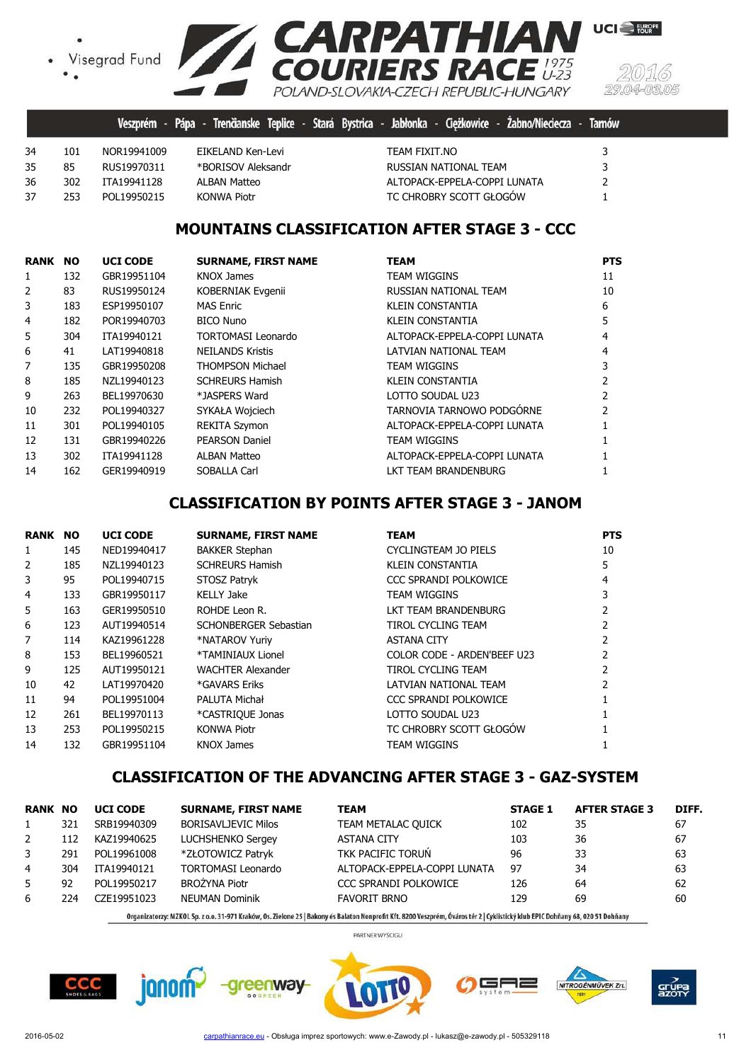• Visegrad Fund



|    |     |              |                    | Veszprém - Pápa - Trenčianske Teplice - Stará Bystrica - Jabłonka - Ciężkowice - Żabno/Nieciecza - Tarnów |  |
|----|-----|--------------|--------------------|-----------------------------------------------------------------------------------------------------------|--|
| 34 | 101 | NOR19941009  | EIKELAND Ken-Levi  | TEAM FIXIT.NO                                                                                             |  |
| 35 | 85  | RUS19970311  | *BORISOV Aleksandr | RUSSIAN NATIONAL TEAM                                                                                     |  |
| 36 | 302 | ITA19941128  | ALBAN Matteo       | ALTOPACK-EPPELA-COPPI LUNATA                                                                              |  |
| 37 | 253 | POI 19950215 | <b>KONWA Piotr</b> | TC CHROBRY SCOTT GŁOGÓW                                                                                   |  |

# **MOUNTAINS CLASSIFICATION AFTER STAGE 3 - CCC**

| <b>RANK</b>    | <b>NO</b> | <b>UCI CODE</b> | <b>SURNAME, FIRST NAME</b> | <b>TEAM</b>                  | <b>PTS</b> |
|----------------|-----------|-----------------|----------------------------|------------------------------|------------|
| 1              | 132       | GBR19951104     | KNOX James                 | <b>TEAM WIGGINS</b>          | 11         |
| $\overline{2}$ | 83        | RUS19950124     | KOBERNIAK Evgenii          | RUSSIAN NATIONAL TEAM        | 10         |
| 3              | 183       | ESP19950107     | <b>MAS Enric</b>           | <b>KLEIN CONSTANTIA</b>      | 6          |
| 4              | 182       | POR19940703     | <b>BICO Nuno</b>           | KLEIN CONSTANTIA             | 5          |
| 5              | 304       | ITA19940121     | <b>TORTOMASI Leonardo</b>  | ALTOPACK-EPPELA-COPPI LUNATA | 4          |
| 6              | 41        | LAT19940818     | <b>NEILANDS Kristis</b>    | LATVIAN NATIONAL TEAM        | 4          |
| 7              | 135       | GBR19950208     | <b>THOMPSON Michael</b>    | <b>TEAM WIGGINS</b>          |            |
| 8              | 185       | NZL19940123     | <b>SCHREURS Hamish</b>     | <b>KLEIN CONSTANTIA</b>      |            |
| 9              | 263       | BEL19970630     | *JASPERS Ward              | LOTTO SOUDAL U23             |            |
| 10             | 232       | POL19940327     | SYKAŁA Wojciech            | TARNOVIA TARNOWO PODGÓRNE    |            |
| 11             | 301       | POL19940105     | <b>REKITA Szymon</b>       | ALTOPACK-EPPELA-COPPI LUNATA |            |
| 12             | 131       | GBR19940226     | <b>PEARSON Daniel</b>      | <b>TEAM WIGGINS</b>          |            |
| 13             | 302       | ITA19941128     | <b>ALBAN Matteo</b>        | ALTOPACK-EPPELA-COPPI LUNATA |            |
| 14             | 162       | GER19940919     | <b>SOBALLA Carl</b>        | LKT TEAM BRANDENBURG         |            |

# **CLASSIFICATION BY POINTS AFTER STAGE 3 - JANOM**

| <b>RANK</b>    | <b>NO</b> | <b>UCI CODE</b> | <b>SURNAME, FIRST NAME</b> | <b>TEAM</b>                 | <b>PTS</b> |
|----------------|-----------|-----------------|----------------------------|-----------------------------|------------|
| 1              | 145       | NED19940417     | <b>BAKKER Stephan</b>      | CYCLINGTEAM JO PIELS        | 10         |
| $\overline{2}$ | 185       | NZL19940123     | <b>SCHREURS Hamish</b>     | <b>KLEIN CONSTANTIA</b>     | 5.         |
| 3              | 95        | POL19940715     | STOSZ Patryk               | CCC SPRANDI POLKOWICE       | 4          |
| 4              | 133       | GBR19950117     | KELLY Jake                 | <b>TEAM WIGGINS</b>         |            |
| 5              | 163       | GER19950510     | ROHDE Leon R.              | LKT TEAM BRANDENBURG        |            |
| 6              | 123       | AUT19940514     | SCHONBERGER Sebastian      | <b>TIROL CYCLING TEAM</b>   |            |
| 7              | 114       | KAZ19961228     | *NATAROV Yuriy             | <b>ASTANA CITY</b>          |            |
| 8              | 153       | BEL19960521     | *TAMINIAUX Lionel          | COLOR CODE - ARDEN'BEEF U23 |            |
| 9              | 125       | AUT19950121     | <b>WACHTER Alexander</b>   | TIROL CYCLING TEAM          |            |
| 10             | 42        | LAT19970420     | *GAVARS Eriks              | LATVIAN NATIONAL TEAM       |            |
| 11             | 94        | POL19951004     | PALUTA Michał              | CCC SPRANDI POLKOWICE       |            |
| 12             | 261       | BEL19970113     | *CASTRIOUE Jonas           | LOTTO SOUDAL U23            |            |
| 13             | 253       | POL19950215     | <b>KONWA Piotr</b>         | TC CHROBRY SCOTT GŁOGÓW     |            |
| 14             | 132       | GBR19951104     | <b>KNOX James</b>          | <b>TEAM WIGGINS</b>         |            |

## **CLASSIFICATION OF THE ADVANCING AFTER STAGE 3 - GAZ-SYSTEM**

| <b>RANK NO</b> |     | <b>UCI CODE</b> | <b>SURNAME, FIRST NAME</b> | <b>TEAM</b>                  | <b>STAGE 1</b> | <b>AFTER STAGE 3</b> | DIFF. |
|----------------|-----|-----------------|----------------------------|------------------------------|----------------|----------------------|-------|
|                | 321 | SRB19940309     | <b>BORISAVLJEVIC Milos</b> | TEAM METALAC QUICK           | 102            | 35                   | 67    |
| 2              | 112 | KAZ19940625     | LUCHSHENKO Sergey          | <b>ASTANA CITY</b>           | 103            | 36                   | 67    |
| 3              | 291 | POL19961008     | *ZŁOTOWICZ Patryk          | TKK PACIFIC TORUŃ            | 96             | 33                   | 63    |
| 4              | 304 | ITA19940121     | <b>TORTOMASI Leonardo</b>  | ALTOPACK-EPPELA-COPPI LUNATA | 97             | 34                   | 63    |
| 5.             | 92  | POL19950217     | <b>BROŻYNA Piotr</b>       | CCC SPRANDI POLKOWICE        | 126            | 64                   | 62    |
| 6              | 224 | CZF19951023     | <b>NEUMAN Dominik</b>      | <b>FAVORIT BRNO</b>          | 129            | 69                   | 60    |
|                |     |                 |                            |                              |                |                      |       |

Organizatorzy: MZKOL Sp. z o.o. 31-971 Kraków, Os. Zielone 25 | Bakony és Balaton Nonprofit Kft. 8200 Veszprém, Óváros tér 2 | Cyklistický klub EPIC Dohňany 68, 020 51 Dohňany

PARTNER WYŚCIGU

╕╒

NITROGÉNMŰVEK Zrt.

**CCC** 



grut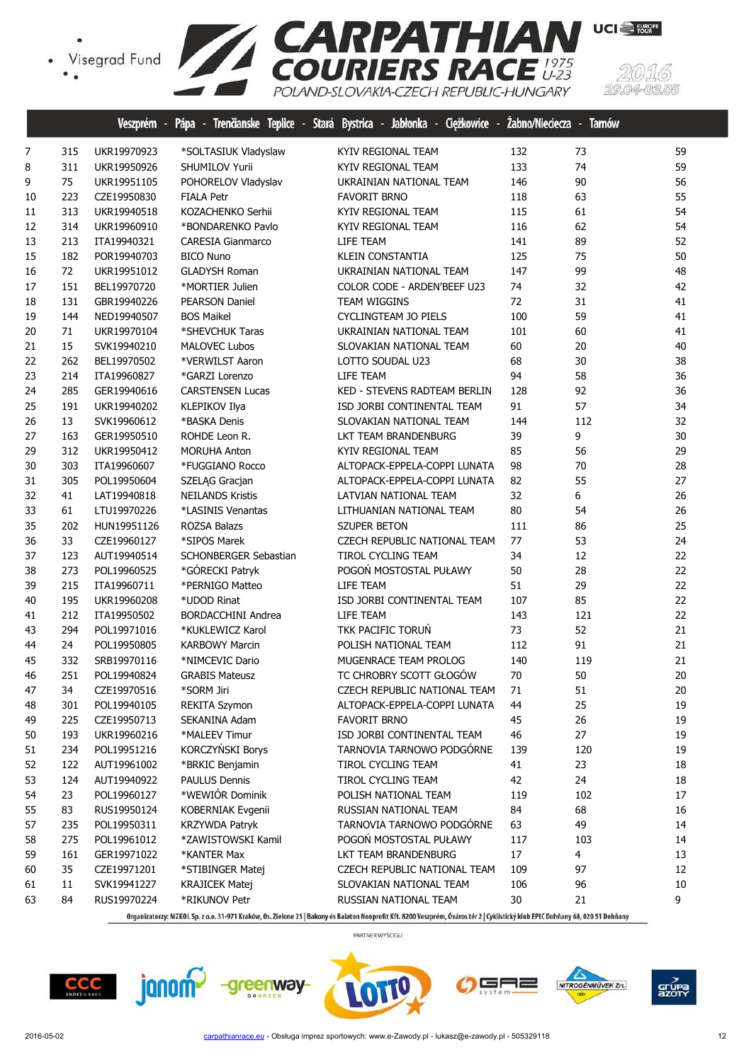

|    |     | veszprem    | rapa<br>х,                | - Trenganske Teplice - Stara Bystrica - Jabionka - Ciężkowice | <b>Labno/Niedecza - larnow</b> |     |    |
|----|-----|-------------|---------------------------|---------------------------------------------------------------|--------------------------------|-----|----|
| 7  | 315 | UKR19970923 | *SOLTASIUK Vladyslaw      | KYIV REGIONAL TEAM                                            | 132                            | 73  | 59 |
| 8  | 311 | UKR19950926 | SHUMILOV Yurii            | KYIV REGIONAL TEAM                                            | 133                            | 74  | 59 |
| 9  | 75  | UKR19951105 | POHORELOV Vladyslav       | UKRAINIAN NATIONAL TEAM                                       | 146                            | 90  | 56 |
| 10 | 223 | CZE19950830 | <b>FIALA Petr</b>         | <b>FAVORIT BRNO</b>                                           | 118                            | 63  | 55 |
| 11 | 313 | UKR19940518 | KOZACHENKO Serhii         | KYIV REGIONAL TEAM                                            | 115                            | 61  | 54 |
| 12 | 314 | UKR19960910 | *BONDARENKO Pavlo         | KYIV REGIONAL TEAM                                            | 116                            | 62  | 54 |
| 13 | 213 | ITA19940321 | <b>CARESIA Gianmarco</b>  | LIFE TEAM                                                     | 141                            | 89  | 52 |
| 15 | 182 | POR19940703 | <b>BICO Nuno</b>          | <b>KLEIN CONSTANTIA</b>                                       | 125                            | 75  | 50 |
| 16 | 72  | UKR19951012 | <b>GLADYSH Roman</b>      | UKRAINIAN NATIONAL TEAM                                       | 147                            | 99  | 48 |
| 17 | 151 | BEL19970720 | *MORTIER Julien           | COLOR CODE - ARDEN'BEEF U23                                   | 74                             | 32  | 42 |
| 18 | 131 | GBR19940226 | <b>PEARSON Daniel</b>     | <b>TEAM WIGGINS</b>                                           | 72                             | 31  | 41 |
| 19 | 144 | NED19940507 | <b>BOS Maikel</b>         | CYCLINGTEAM JO PIELS                                          | 100                            | 59  | 41 |
| 20 | 71  | UKR19970104 | *SHEVCHUK Taras           | UKRAINIAN NATIONAL TEAM                                       | 101                            | 60  | 41 |
| 21 | 15  | SVK19940210 | <b>MALOVEC Lubos</b>      | SLOVAKIAN NATIONAL TEAM                                       | 60                             | 20  | 40 |
| 22 | 262 | BEL19970502 | *VERWILST Aaron           | LOTTO SOUDAL U23                                              | 68                             | 30  | 38 |
| 23 | 214 | ITA19960827 | *GARZI Lorenzo            | LIFE TEAM                                                     | 94                             | 58  | 36 |
| 24 | 285 | GER19940616 | <b>CARSTENSEN Lucas</b>   | <b>KED - STEVENS RADTEAM BERLIN</b>                           | 128                            | 92  | 36 |
| 25 | 191 | UKR19940202 | KLEPIKOV Ilya             | ISD JORBI CONTINENTAL TEAM                                    | 91                             | 57  | 34 |
| 26 | 13  | SVK19960612 | *BASKA Denis              | SLOVAKIAN NATIONAL TEAM                                       | 144                            | 112 | 32 |
| 27 | 163 | GER19950510 | ROHDE Leon R.             | LKT TEAM BRANDENBURG                                          | 39                             | 9   | 30 |
| 29 | 312 | UKR19950412 | <b>MORUHA Anton</b>       | KYIV REGIONAL TEAM                                            | 85                             | 56  | 29 |
| 30 | 303 | ITA19960607 | *FUGGIANO Rocco           | ALTOPACK-EPPELA-COPPI LUNATA                                  | 98                             | 70  | 28 |
| 31 | 305 | POL19950604 | SZELĄG Gracjan            | ALTOPACK-EPPELA-COPPI LUNATA                                  | 82                             | 55  | 27 |
| 32 | 41  | LAT19940818 | <b>NEILANDS Kristis</b>   | LATVIAN NATIONAL TEAM                                         | 32                             | 6   | 26 |
| 33 | 61  | LTU19970226 | *LASINIS Venantas         | LITHUANIAN NATIONAL TEAM                                      | 80                             | 54  | 26 |
| 35 | 202 | HUN19951126 | ROZSA Balazs              | <b>SZUPER BETON</b>                                           | 111                            | 86  | 25 |
| 36 | 33  | CZE19960127 | *SIPOS Marek              | CZECH REPUBLIC NATIONAL TEAM                                  | 77                             | 53  | 24 |
| 37 | 123 | AUT19940514 | SCHONBERGER Sebastian     | TIROL CYCLING TEAM                                            | 34                             | 12  | 22 |
| 38 | 273 | POL19960525 | *GÓRECKI Patryk           | POGOŃ MOSTOSTAL PUŁAWY                                        | 50                             | 28  | 22 |
| 39 | 215 | ITA19960711 | *PERNIGO Matteo           | LIFE TEAM                                                     | 51                             | 29  | 22 |
| 40 | 195 | UKR19960208 | *UDOD Rinat               | ISD JORBI CONTINENTAL TEAM                                    | 107                            | 85  | 22 |
| 41 | 212 | ITA19950502 | <b>BORDACCHINI Andrea</b> | LIFE TEAM                                                     | 143                            | 121 | 22 |
| 43 | 294 | POL19971016 | *KUKLEWICZ Karol          | <b>TKK PACIFIC TORUŃ</b>                                      | 73                             | 52  | 21 |
| 44 | 24  | POL19950805 | <b>KARBOWY Marcin</b>     | POLISH NATIONAL TEAM                                          | 112                            | 91  | 21 |
| 45 | 332 | SRB19970116 | *NIMCEVIC Dario           | MUGENRACE TEAM PROLOG                                         | 140                            | 119 | 21 |
| 46 | 251 | POL19940824 | <b>GRABIS Mateusz</b>     | TC CHROBRY SCOTT GŁOGÓW                                       | $70\,$                         | 50  | 20 |
| 47 | 34  | CZE19970516 | *SORM Jiri                | CZECH REPUBLIC NATIONAL TEAM                                  | 71                             | 51  | 20 |
| 48 | 301 | POL19940105 | <b>REKITA Szymon</b>      | ALTOPACK-EPPELA-COPPI LUNATA                                  | 44                             | 25  | 19 |
| 49 | 225 | CZE19950713 | SEKANINA Adam             | <b>FAVORIT BRNO</b>                                           | 45                             | 26  | 19 |
| 50 | 193 | UKR19960216 | *MALEEV Timur             | ISD JORBI CONTINENTAL TEAM                                    | 46                             | 27  | 19 |
| 51 | 234 | POL19951216 | KORCZYŃSKI Borys          | TARNOVIA TARNOWO PODGÓRNE                                     | 139                            | 120 | 19 |
| 52 | 122 | AUT19961002 | *BRKIC Benjamin           | TIROL CYCLING TEAM                                            | 41                             | 23  | 18 |
| 53 | 124 | AUT19940922 | <b>PAULUS Dennis</b>      | TIROL CYCLING TEAM                                            | 42                             | 24  | 18 |
| 54 | 23  | POL19960127 | *WEWIÓR Dominik           | POLISH NATIONAL TEAM                                          | 119                            | 102 | 17 |
| 55 | 83  | RUS19950124 | KOBERNIAK Evgenii         | RUSSIAN NATIONAL TEAM                                         | 84                             | 68  | 16 |
| 57 | 235 | POL19950311 | <b>KRZYWDA Patryk</b>     | TARNOVIA TARNOWO PODGÓRNE                                     | 63                             | 49  | 14 |
| 58 | 275 | POL19961012 | *ZAWISTOWSKI Kamil        | POGOŃ MOSTOSTAL PUŁAWY                                        | 117                            | 103 | 14 |
| 59 | 161 | GER19971022 | *KANTER Max               | LKT TEAM BRANDENBURG                                          | $17\,$                         | 4   | 13 |
| 60 | 35  | CZE19971201 | *STIBINGER Matej          | CZECH REPUBLIC NATIONAL TEAM                                  | 109                            | 97  | 12 |
| 61 | 11  | SVK19941227 | <b>KRAJICEK Matej</b>     | SLOVAKIAN NATIONAL TEAM                                       | 106                            | 96  | 10 |
| 63 | 84  | RUS19970224 | *RIKUNOV Petr             | RUSSIAN NATIONAL TEAM                                         | 30                             | 21  | 9  |
|    |     |             |                           |                                                               |                                |     |    |

Organizatorzy: MZKOL Sp. z o.o. 31-971 Kraków, Os. Zielone 25 | Bakony és Balaton Nonprofit Kft. 8200 Veszprém, Óváros tér 2 | Cyklistický klub EPIC Dohňany 68, 020 51 Dohňany

PARTNER WYŚCIGU











 $-03.05$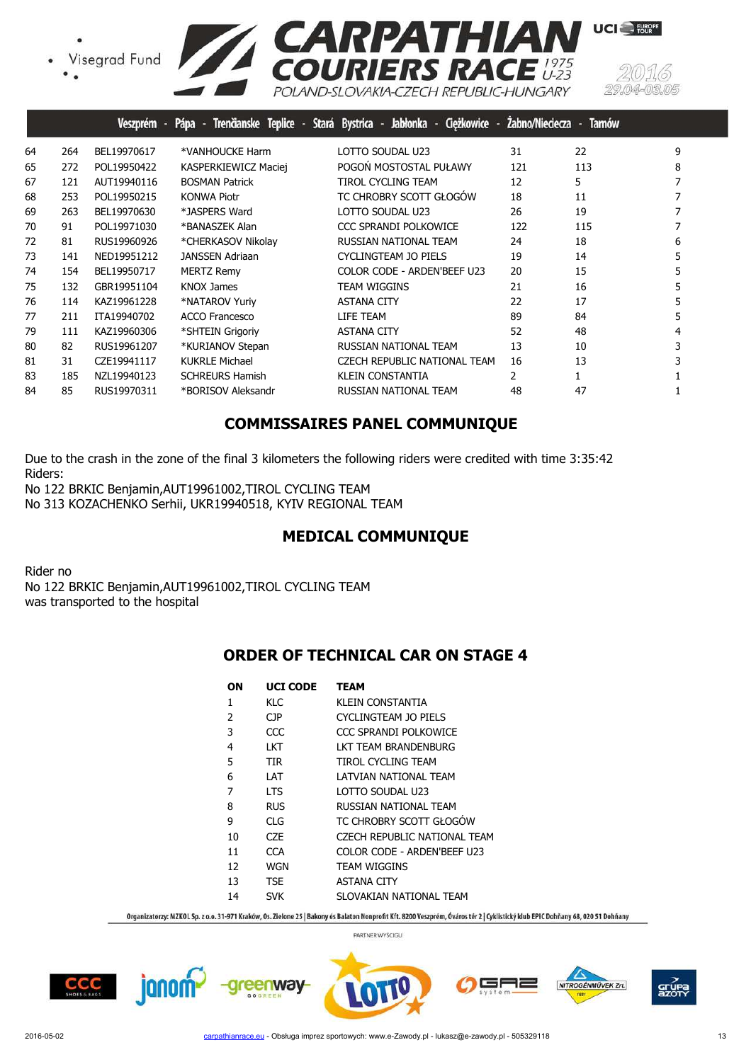Visegrad Fund



|    |     | Veszprém -  |                        | Pápa - Trenčianske Teplice - Stará Bystrica - Jabłonka - Ciężkowice - | Zabno/Nieciecza - | <b>Tarnów</b> |   |
|----|-----|-------------|------------------------|-----------------------------------------------------------------------|-------------------|---------------|---|
| 64 | 264 | BEL19970617 | *VANHOUCKE Harm        | LOTTO SOUDAL U23                                                      | 31                | 22            | 9 |
| 65 | 272 | POL19950422 | KASPERKIEWICZ Maciej   | POGOŃ MOSTOSTAL PUŁAWY                                                | 121               | 113           | 8 |
| 67 | 121 | AUT19940116 | <b>BOSMAN Patrick</b>  | <b>TIROL CYCLING TEAM</b>                                             | 12                | 5             |   |
| 68 | 253 | POL19950215 | <b>KONWA Piotr</b>     | TC CHROBRY SCOTT GŁOGÓW                                               | 18                | 11            |   |
| 69 | 263 | BEL19970630 | *JASPERS Ward          | LOTTO SOUDAL U23                                                      | 26                | 19            |   |
| 70 | 91  | POL19971030 | *BANASZEK Alan         | <b>CCC SPRANDI POLKOWICE</b>                                          | 122               | 115           |   |
| 72 | 81  | RUS19960926 | *CHERKASOV Nikolay     | RUSSIAN NATIONAL TEAM                                                 | 24                | 18            | 6 |
| 73 | 141 | NED19951212 | <b>JANSSEN Adriaan</b> | CYCLINGTEAM JO PIELS                                                  | 19                | 14            |   |
| 74 | 154 | BEL19950717 | <b>MERTZ Remy</b>      | COLOR CODE - ARDEN'BEEF U23                                           | 20                | 15            |   |
| 75 | 132 | GBR19951104 | <b>KNOX James</b>      | TEAM WIGGINS                                                          | 21                | 16            |   |
| 76 | 114 | KAZ19961228 | *NATAROV Yuriy         | <b>ASTANA CITY</b>                                                    | 22                | 17            |   |
| 77 | 211 | ITA19940702 | <b>ACCO Francesco</b>  | LIFE TEAM                                                             | 89                | 84            |   |
| 79 | 111 | KAZ19960306 | *SHTEIN Grigoriy       | <b>ASTANA CITY</b>                                                    | 52                | 48            |   |
| 80 | 82  | RUS19961207 | *KURIANOV Stepan       | RUSSIAN NATIONAL TEAM                                                 | 13                | 10            |   |
| 81 | 31  | CZE19941117 | <b>KUKRLE Michael</b>  | <b>CZECH REPUBLIC NATIONAL TEAM</b>                                   | 16                | 13            |   |
| 83 | 185 | NZL19940123 | <b>SCHREURS Hamish</b> | <b>KLEIN CONSTANTIA</b>                                               | 2                 |               |   |
| 84 | 85  | RUS19970311 | *BORISOV Aleksandr     | RUSSIAN NATIONAL TEAM                                                 | 48                | 47            |   |
|    |     |             |                        |                                                                       |                   |               |   |

# **COMMISSAIRES PANEL COMMUNIQUE**

Due to the crash in the zone of the final 3 kilometers the following riders were credited with time 3:35:42 Riders: No 122 BRKIC Benjamin,AUT19961002,TIROL CYCLING TEAM

No 313 KOZACHENKO Serhii, UKR19940518, KYIV REGIONAL TEAM

# **MEDICAL COMMUNIQUE**

Rider no No 122 BRKIC Benjamin,AUT19961002,TIROL CYCLING TEAM was transported to the hospital

## **ORDER OF TECHNICAL CAR ON STAGE 4**

| OΝ | <b>UCI CODE</b> | <b>TEAM</b>                         |
|----|-----------------|-------------------------------------|
| 1  | KLC             | KI FIN CONSTANTIA                   |
| 2  | CJP.            | CYCLINGTEAM JO PIELS                |
| 3  | CCC             | CCC SPRANDI POI KOWICE              |
| 4  | LKT.            | LKT TEAM BRANDENBURG                |
| 5  | <b>TIR</b>      | TIROL CYCLING TFAM                  |
| 6  | LAT             | LATVIAN NATIONAL TEAM               |
| 7  | <b>LTS</b>      | LOTTO SOUDAL U23                    |
| 8  | <b>RUS</b>      | RUSSIAN NATIONAL TEAM               |
| 9  | CI G            | TC CHROBRY SCOTT GŁOGÓW             |
| 10 | CZE.            | <b>CZECH REPUBLIC NATIONAL TEAM</b> |
| 11 | <b>CCA</b>      | COLOR CODE - ARDEN'BEEE U23         |
| 12 | WGN             | <b>TEAM WIGGINS</b>                 |
| 13 | <b>TSE</b>      | <b>ASTANA CITY</b>                  |
| 14 | <b>SVK</b>      | SLOVAKIAN NATIONAL TEAM             |

Organizatorzy: MZKOL Sp. z o.o. 31-971 Kraków, Os. Zielone 25 | Bakony és Balaton Nonprofit Kft. 8200 Veszprém, Óváros tér 2 | Cyklistický klub EPIC Dohňany 68, 020 51 Dohňany









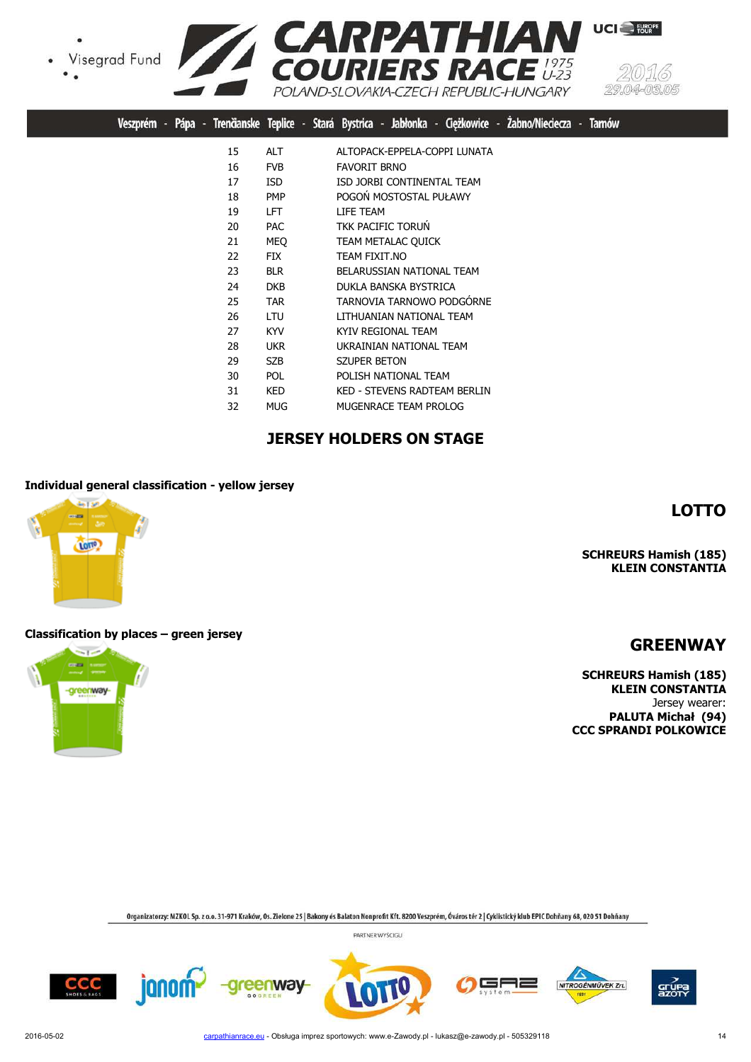Visegrad Fund





UCI<sup>S</sup>

|  |  |    |            |  | Veszprém - Pápa - Trenčianske Teplice - Stará Bystrica - Jabłonka - Ciężkowice - Żabno/Nieciecza - Tarnów |
|--|--|----|------------|--|-----------------------------------------------------------------------------------------------------------|
|  |  | 15 | <b>ALT</b> |  | ALTOPACK-EPPELA-COPPI LUNATA                                                                              |
|  |  | 16 | <b>FVB</b> |  | <b>FAVORIT BRNO</b>                                                                                       |
|  |  | 17 | <b>ISD</b> |  | ISD JORBI CONTINENTAL TEAM                                                                                |
|  |  | 18 | <b>PMP</b> |  | POGOŃ MOSTOSTAL PUŁAWY                                                                                    |
|  |  | 19 | LFT.       |  | LIFE TEAM                                                                                                 |
|  |  | 20 | <b>PAC</b> |  | <b>TKK PACIFIC TORUN</b>                                                                                  |
|  |  | 21 | <b>MEQ</b> |  | TEAM METALAC QUICK                                                                                        |
|  |  | 22 | <b>FIX</b> |  | TEAM FIXIT.NO                                                                                             |
|  |  | 23 | <b>BLR</b> |  | BELARUSSIAN NATIONAL TEAM                                                                                 |
|  |  | 24 | <b>DKB</b> |  | DUKLA BANSKA BYSTRICA                                                                                     |
|  |  | 25 | <b>TAR</b> |  | TARNOVIA TARNOWO PODGÓRNE                                                                                 |
|  |  | 26 | <b>LTU</b> |  | LITHUANIAN NATIONAL TEAM                                                                                  |
|  |  | 27 | <b>KYV</b> |  | KYIV REGIONAL TEAM                                                                                        |
|  |  | 28 | <b>UKR</b> |  | UKRAINIAN NATIONAL TEAM                                                                                   |
|  |  | 29 | <b>SZB</b> |  | <b>SZUPER BETON</b>                                                                                       |
|  |  | 30 | <b>POL</b> |  | POLISH NATIONAL TEAM                                                                                      |
|  |  | 31 | KED        |  | <b>KED - STEVENS RADTEAM BERLIN</b>                                                                       |
|  |  | 32 | <b>MUG</b> |  | MUGENRACE TEAM PROLOG                                                                                     |

# **JERSEY HOLDERS ON STAGE**

#### **Individual general classification - yellow jersey**



#### **SCHREURS Hamish (185) KLEIN CONSTANTIA**

#### **Classification by places – green jersey**



**GREENWAY**

**LOTTO**

**SCHREURS Hamish (185) KLEIN CONSTANTIA** Jersey wearer: **PALUTA Michał (94) CCC SPRANDI POLKOWICE**

Organizatorzy: MZKOL Sp. z o.o. 31-971 Kraków, Os. Zielone 25 | Bakony és Balaton Nonprofit Kft. 8200 Veszprém, Óváros tér 2 | Cyklistický klub EPIC Dohňany 68, 020 51 Dohňany











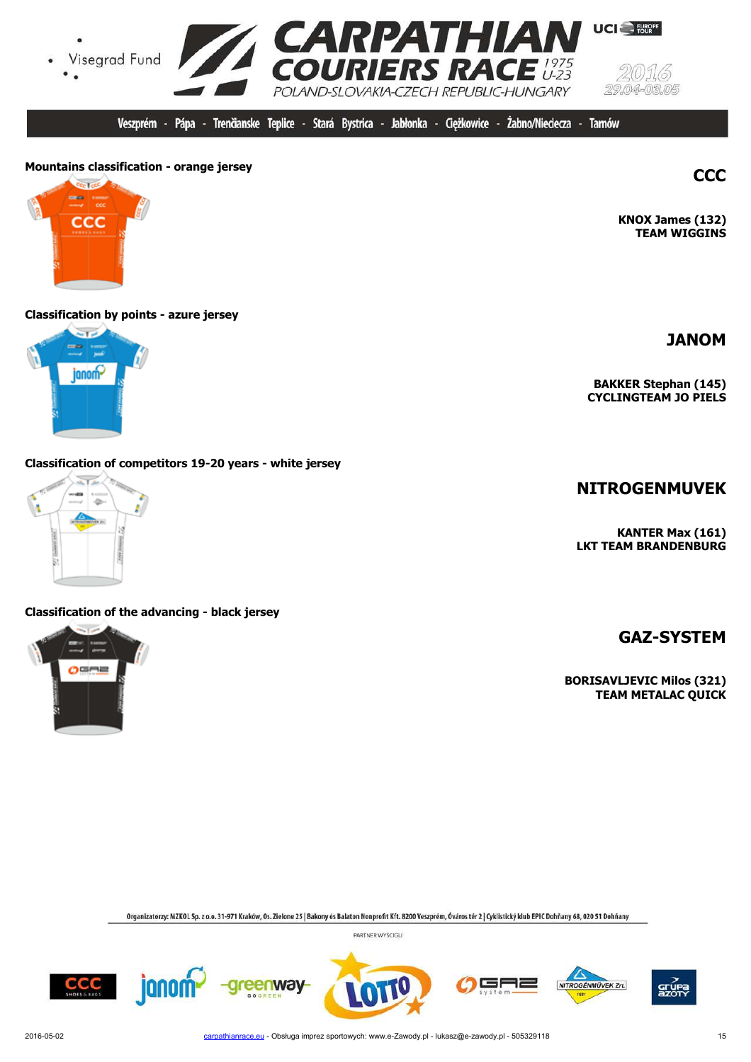

Veszprém - Pápa - Trenčianske Teplice - Stará Bystrica - Jabłonka - Cieżkowice -Żabno/Nieciecza -**Tarnów** 

# **Mountains classification - orange jersey CCC**

ccc

#### **Classification by points - azure jersey**



#### **Classification of competitors 19-20 years - white jersey**



#### **Classification of the advancing - black jersey**



**KNOX James (132)**

**TEAM WIGGINS**

**JANOM**

**BAKKER Stephan (145) CYCLINGTEAM JO PIELS**

## **NITROGENMUVEK**

**KANTER Max (161) LKT TEAM BRANDENBURG**

**GAZ-SYSTEM**

**BORISAVLJEVIC Milos (321) TEAM METALAC QUICK**

Organizatorzy: MZKOL Sp. z o.o. 31-971 Kraków, Os. Zielone 25 | Bakony és Balaton Nonprofit Kft. 8200 Veszprém, Óváros tér 2 | Cyklistický klub EPIC Dohňany 68, 020 51 Dohňany









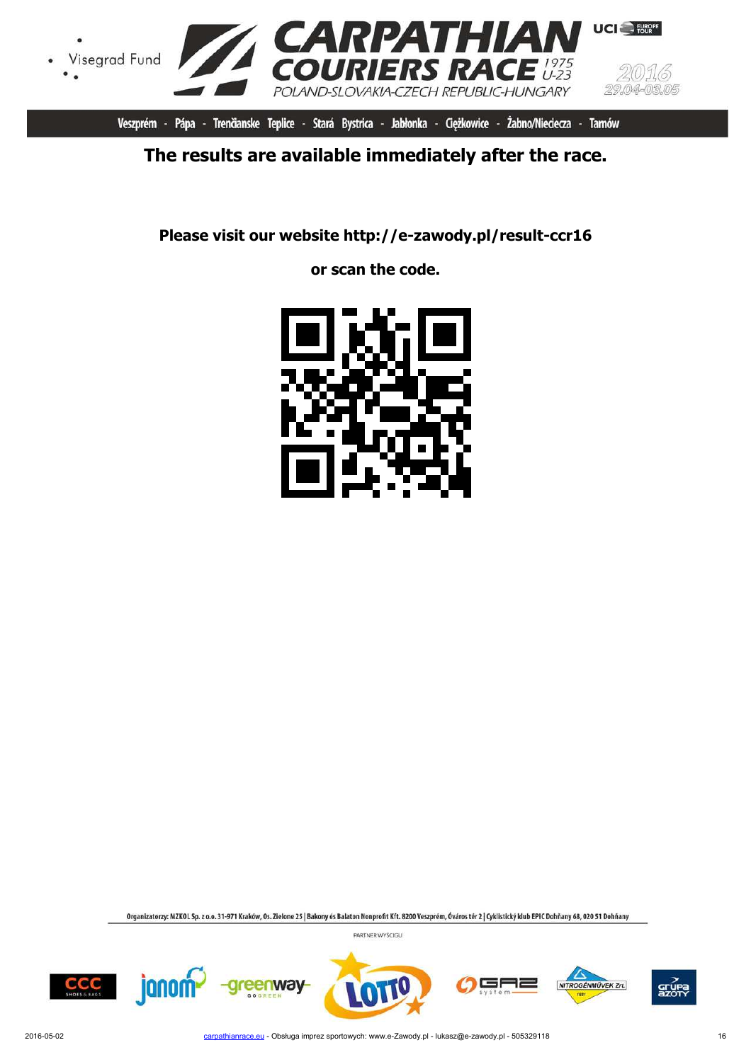

Veszprém - Pápa - Trenčianske Teplice - Stará Bystrica - Jabłonka - Ciężkowice - Żabno/Nieciecza - Tarnów

# **The results are available immediately after the race.**

**Please visit our website http://e-zawody.pl/result-ccr16**

**or scan the code.**



Organizatorzy: MZKOL Sp. z o.o. 31-971 Kraków, Os. Zielone 25 | Bakony és Balaton Nonprofit Kft. 8200 Veszprém, Óváros tér 2 | Cyklistický klub EPIC Dohňany 68, 020 51 Dohňany